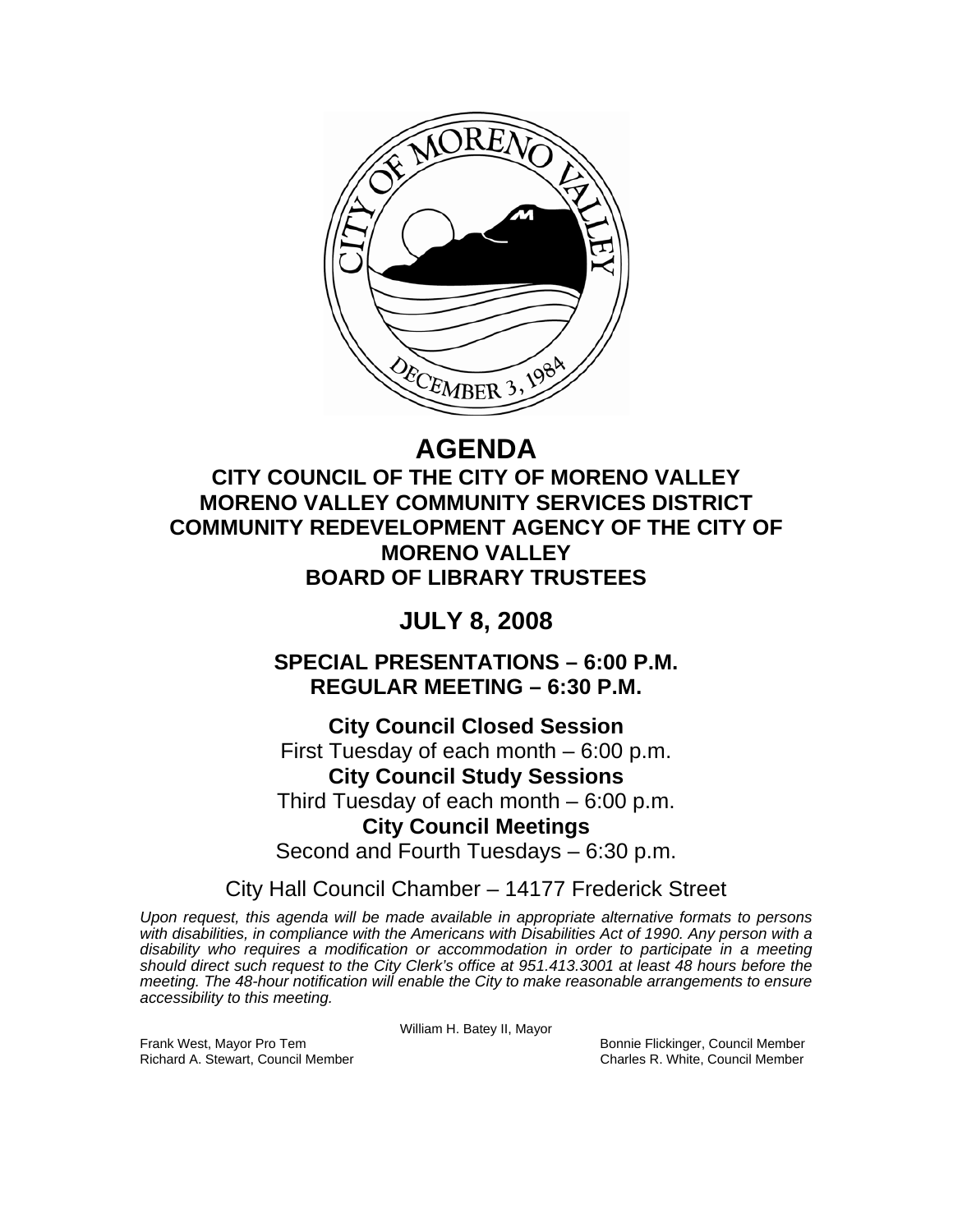

# **AGENDA**

**CITY COUNCIL OF THE CITY OF MORENO VALLEY MORENO VALLEY COMMUNITY SERVICES DISTRICT COMMUNITY REDEVELOPMENT AGENCY OF THE CITY OF MORENO VALLEY BOARD OF LIBRARY TRUSTEES** 

## **JULY 8, 2008**

**SPECIAL PRESENTATIONS – 6:00 P.M. REGULAR MEETING – 6:30 P.M.** 

**City Council Closed Session**  First Tuesday of each month – 6:00 p.m. **City Council Study Sessions**  Third Tuesday of each month – 6:00 p.m. **City Council Meetings**  Second and Fourth Tuesdays – 6:30 p.m.

City Hall Council Chamber – 14177 Frederick Street

*Upon request, this agenda will be made available in appropriate alternative formats to persons with disabilities, in compliance with the Americans with Disabilities Act of 1990. Any person with a disability who requires a modification or accommodation in order to participate in a meeting should direct such request to the City Clerk's office at 951.413.3001 at least 48 hours before the meeting. The 48-hour notification will enable the City to make reasonable arrangements to ensure accessibility to this meeting.* 

William H. Batey II, Mayor

Frank West, Mayor Pro Tem Bonnie Flickinger, Council Member Richard A. Stewart, Council Member Charles R. White, Council Member Charles R. White, Council Member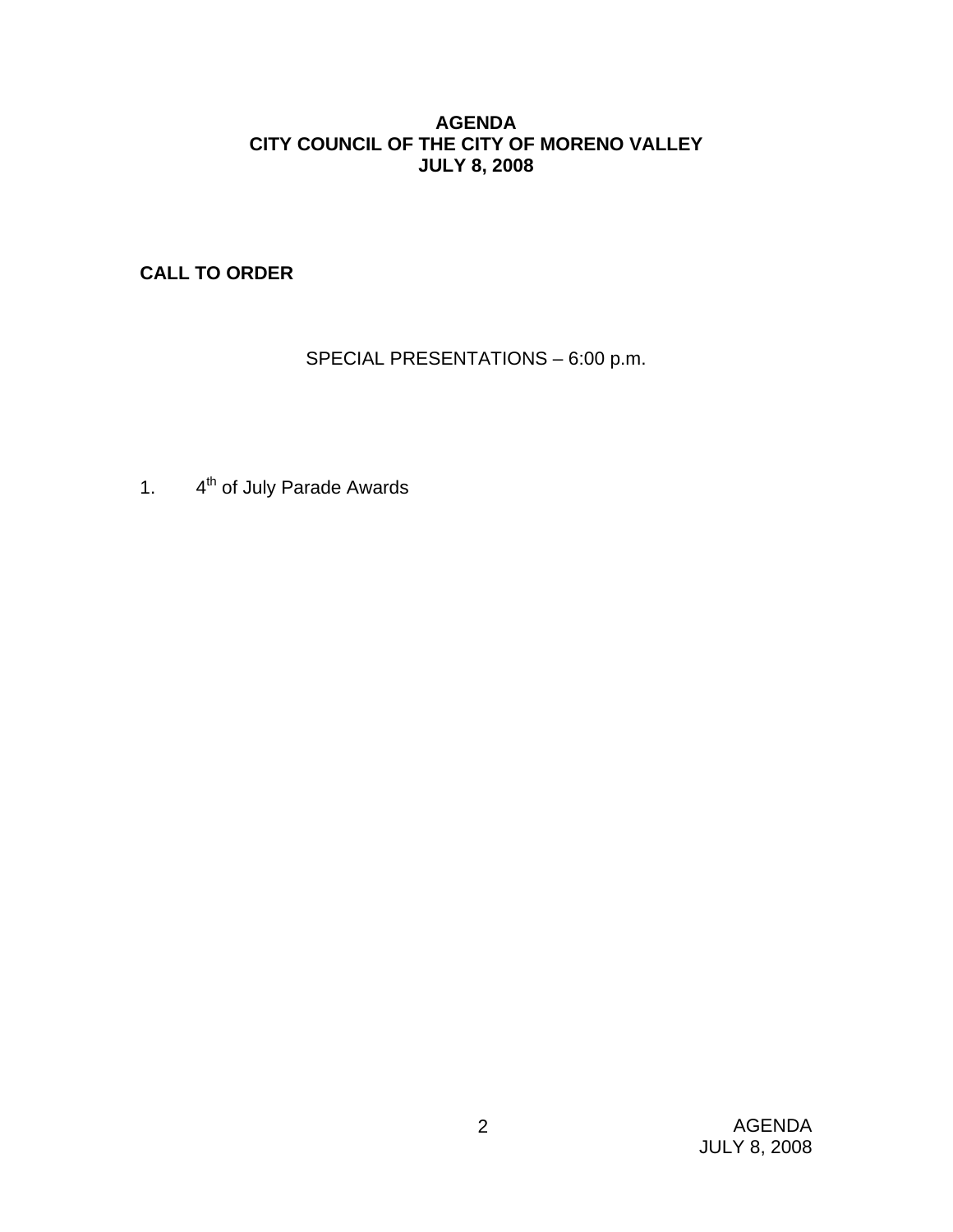## **AGENDA CITY COUNCIL OF THE CITY OF MORENO VALLEY JULY 8, 2008**

**CALL TO ORDER**

SPECIAL PRESENTATIONS – 6:00 p.m.

1. 4<sup>th</sup> of July Parade Awards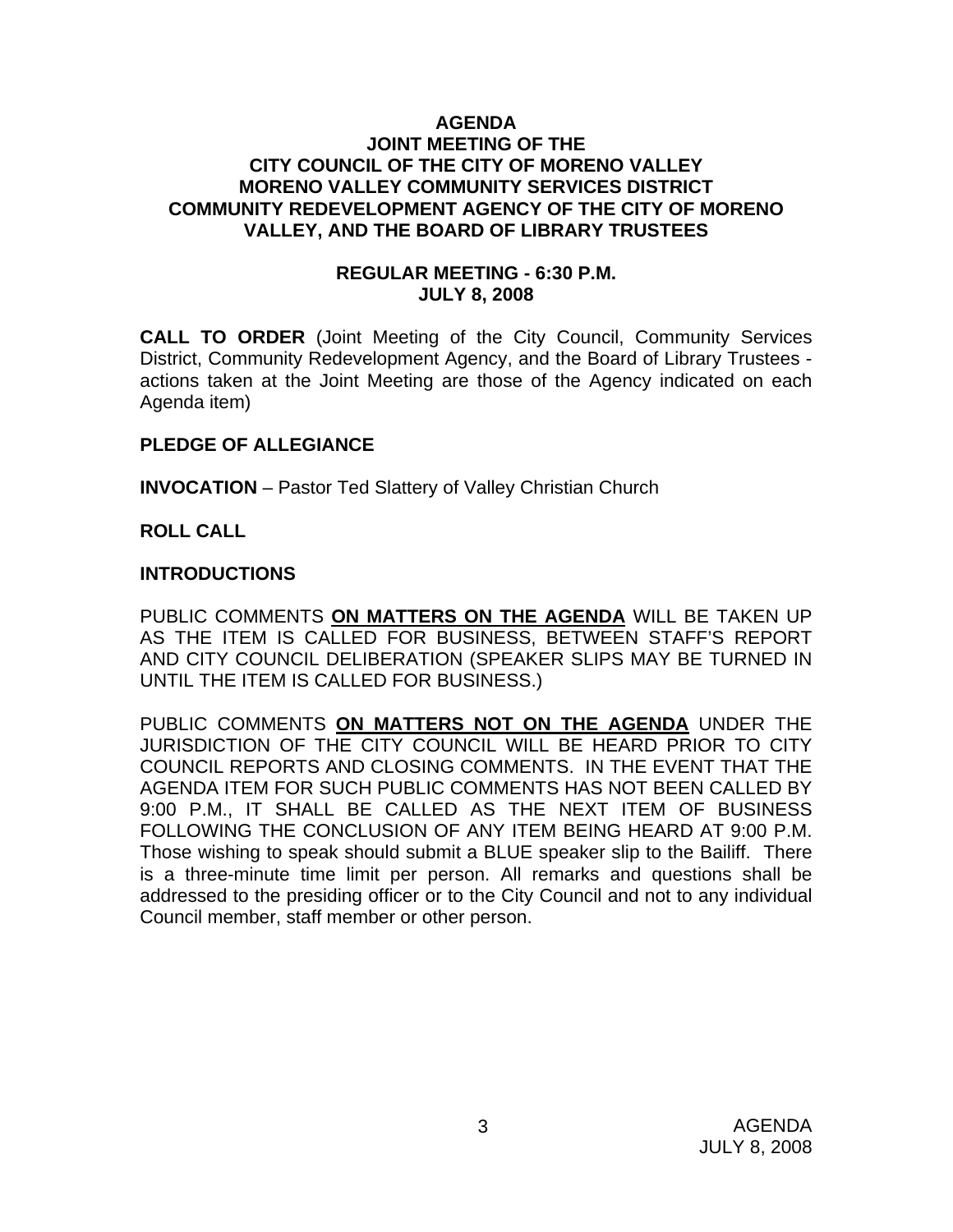#### **AGENDA JOINT MEETING OF THE CITY COUNCIL OF THE CITY OF MORENO VALLEY MORENO VALLEY COMMUNITY SERVICES DISTRICT COMMUNITY REDEVELOPMENT AGENCY OF THE CITY OF MORENO VALLEY, AND THE BOARD OF LIBRARY TRUSTEES**

#### **REGULAR MEETING - 6:30 P.M. JULY 8, 2008**

**CALL TO ORDER** (Joint Meeting of the City Council, Community Services District, Community Redevelopment Agency, and the Board of Library Trustees actions taken at the Joint Meeting are those of the Agency indicated on each Agenda item)

## **PLEDGE OF ALLEGIANCE**

**INVOCATION** – Pastor Ted Slattery of Valley Christian Church

#### **ROLL CALL**

#### **INTRODUCTIONS**

PUBLIC COMMENTS **ON MATTERS ON THE AGENDA** WILL BE TAKEN UP AS THE ITEM IS CALLED FOR BUSINESS, BETWEEN STAFF'S REPORT AND CITY COUNCIL DELIBERATION (SPEAKER SLIPS MAY BE TURNED IN UNTIL THE ITEM IS CALLED FOR BUSINESS.)

PUBLIC COMMENTS **ON MATTERS NOT ON THE AGENDA** UNDER THE JURISDICTION OF THE CITY COUNCIL WILL BE HEARD PRIOR TO CITY COUNCIL REPORTS AND CLOSING COMMENTS. IN THE EVENT THAT THE AGENDA ITEM FOR SUCH PUBLIC COMMENTS HAS NOT BEEN CALLED BY 9:00 P.M., IT SHALL BE CALLED AS THE NEXT ITEM OF BUSINESS FOLLOWING THE CONCLUSION OF ANY ITEM BEING HEARD AT 9:00 P.M. Those wishing to speak should submit a BLUE speaker slip to the Bailiff. There is a three-minute time limit per person. All remarks and questions shall be addressed to the presiding officer or to the City Council and not to any individual Council member, staff member or other person.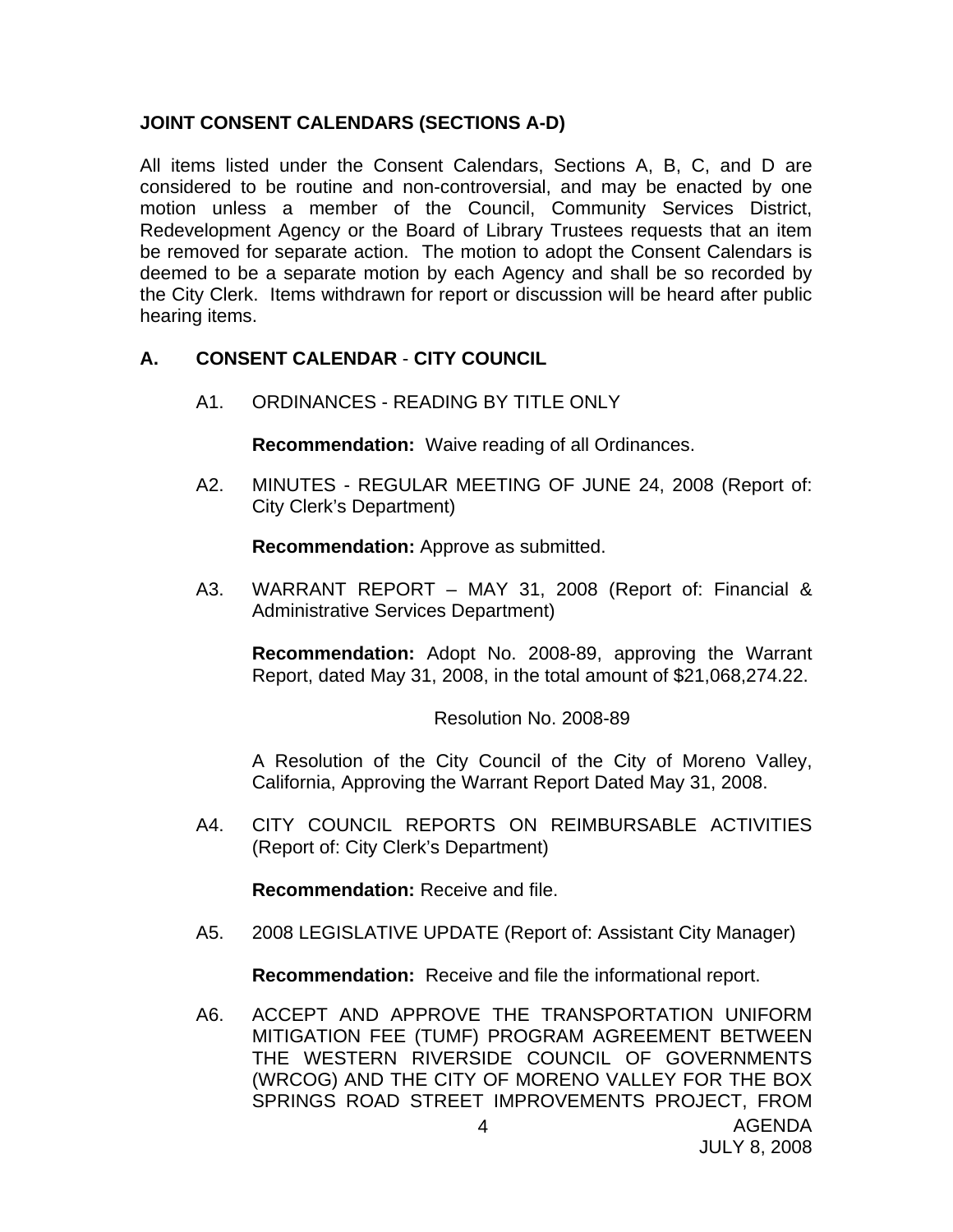## **JOINT CONSENT CALENDARS (SECTIONS A-D)**

All items listed under the Consent Calendars, Sections A, B, C, and D are considered to be routine and non-controversial, and may be enacted by one motion unless a member of the Council, Community Services District, Redevelopment Agency or the Board of Library Trustees requests that an item be removed for separate action. The motion to adopt the Consent Calendars is deemed to be a separate motion by each Agency and shall be so recorded by the City Clerk. Items withdrawn for report or discussion will be heard after public hearing items.

## **A. CONSENT CALENDAR** - **CITY COUNCIL**

A1. ORDINANCES - READING BY TITLE ONLY

**Recommendation:** Waive reading of all Ordinances.

A2. MINUTES - REGULAR MEETING OF JUNE 24, 2008 (Report of: City Clerk's Department)

**Recommendation:** Approve as submitted.

A3. WARRANT REPORT – MAY 31, 2008 (Report of: Financial & Administrative Services Department)

**Recommendation:** Adopt No. 2008-89, approving the Warrant Report, dated May 31, 2008, in the total amount of \$21,068,274.22.

Resolution No. 2008-89

A Resolution of the City Council of the City of Moreno Valley, California, Approving the Warrant Report Dated May 31, 2008.

A4. CITY COUNCIL REPORTS ON REIMBURSABLE ACTIVITIES (Report of: City Clerk's Department)

**Recommendation:** Receive and file.

A5. 2008 LEGISLATIVE UPDATE (Report of: Assistant City Manager)

**Recommendation:** Receive and file the informational report.

A6. ACCEPT AND APPROVE THE TRANSPORTATION UNIFORM MITIGATION FEE (TUMF) PROGRAM AGREEMENT BETWEEN THE WESTERN RIVERSIDE COUNCIL OF GOVERNMENTS (WRCOG) AND THE CITY OF MORENO VALLEY FOR THE BOX SPRINGS ROAD STREET IMPROVEMENTS PROJECT, FROM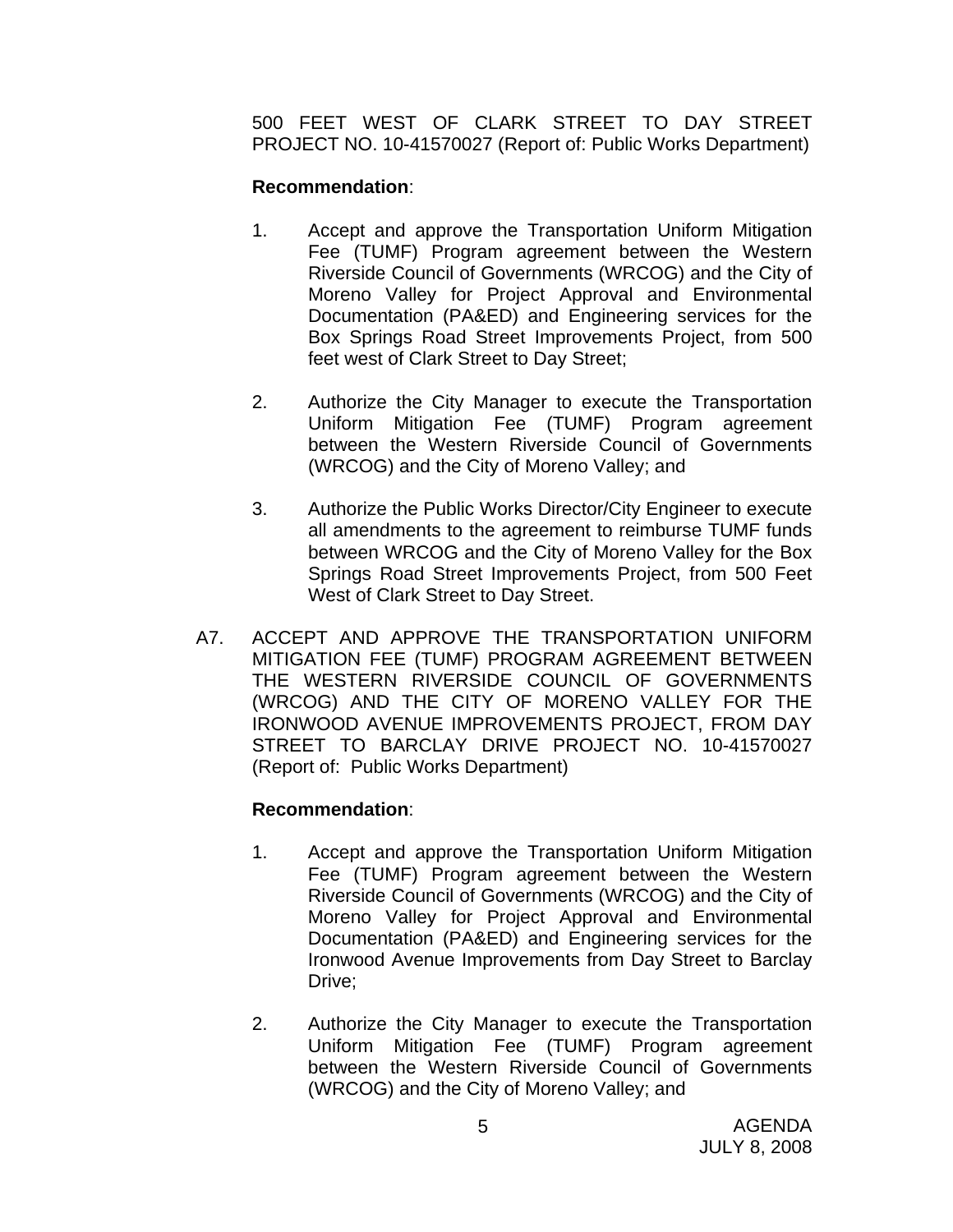500 FEET WEST OF CLARK STREET TO DAY STREET PROJECT NO. 10-41570027 (Report of: Public Works Department)

## **Recommendation**:

- 1. Accept and approve the Transportation Uniform Mitigation Fee (TUMF) Program agreement between the Western Riverside Council of Governments (WRCOG) and the City of Moreno Valley for Project Approval and Environmental Documentation (PA&ED) and Engineering services for the Box Springs Road Street Improvements Project, from 500 feet west of Clark Street to Day Street;
- 2. Authorize the City Manager to execute the Transportation Uniform Mitigation Fee (TUMF) Program agreement between the Western Riverside Council of Governments (WRCOG) and the City of Moreno Valley; and
- 3. Authorize the Public Works Director/City Engineer to execute all amendments to the agreement to reimburse TUMF funds between WRCOG and the City of Moreno Valley for the Box Springs Road Street Improvements Project, from 500 Feet West of Clark Street to Day Street.
- A7. ACCEPT AND APPROVE THE TRANSPORTATION UNIFORM MITIGATION FEE (TUMF) PROGRAM AGREEMENT BETWEEN THE WESTERN RIVERSIDE COUNCIL OF GOVERNMENTS (WRCOG) AND THE CITY OF MORENO VALLEY FOR THE IRONWOOD AVENUE IMPROVEMENTS PROJECT, FROM DAY STREET TO BARCLAY DRIVE PROJECT NO. 10-41570027 (Report of: Public Works Department)

- 1. Accept and approve the Transportation Uniform Mitigation Fee (TUMF) Program agreement between the Western Riverside Council of Governments (WRCOG) and the City of Moreno Valley for Project Approval and Environmental Documentation (PA&ED) and Engineering services for the Ironwood Avenue Improvements from Day Street to Barclay Drive;
- 2. Authorize the City Manager to execute the Transportation Uniform Mitigation Fee (TUMF) Program agreement between the Western Riverside Council of Governments (WRCOG) and the City of Moreno Valley; and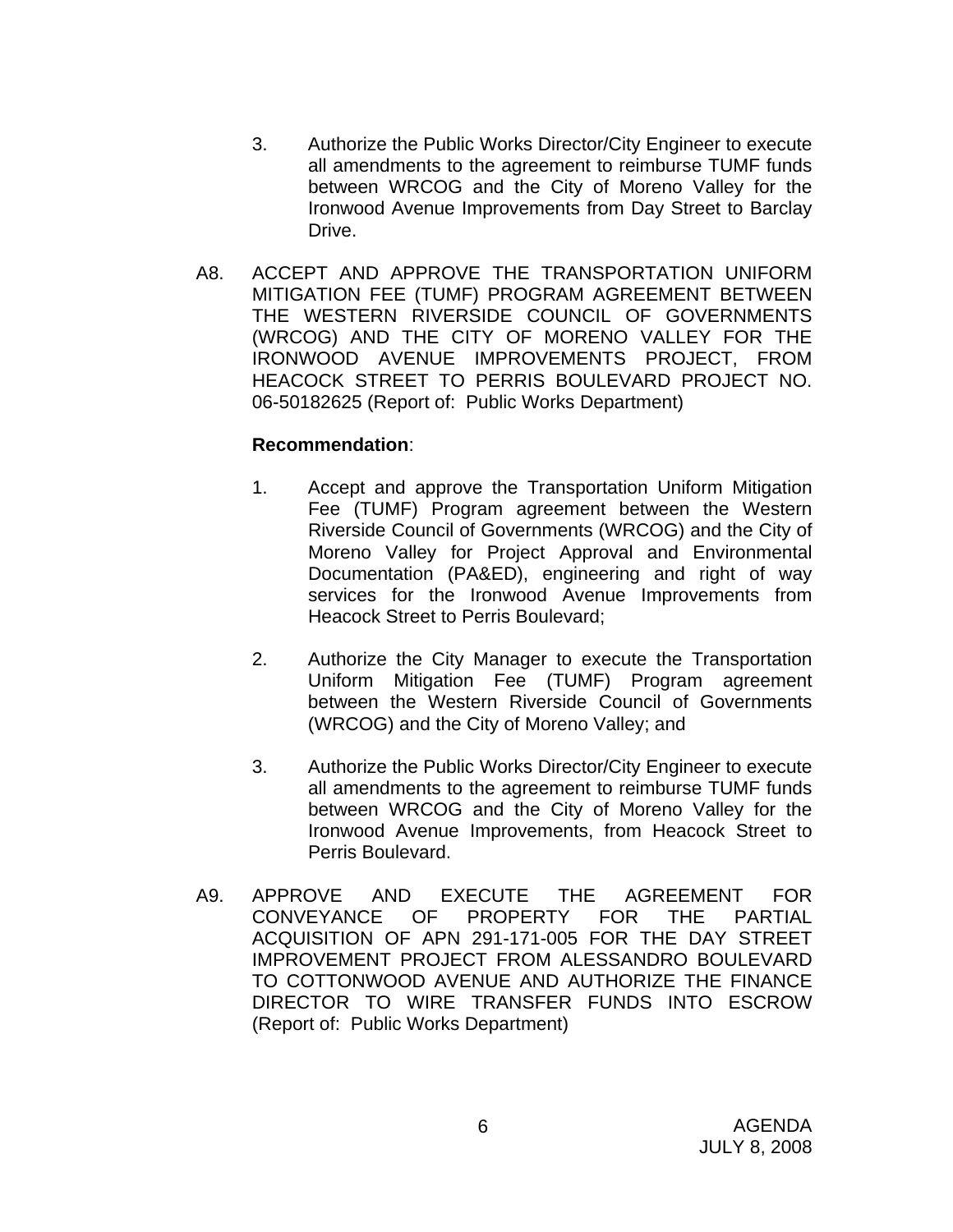- 3. Authorize the Public Works Director/City Engineer to execute all amendments to the agreement to reimburse TUMF funds between WRCOG and the City of Moreno Valley for the Ironwood Avenue Improvements from Day Street to Barclay Drive.
- A8. ACCEPT AND APPROVE THE TRANSPORTATION UNIFORM MITIGATION FEE (TUMF) PROGRAM AGREEMENT BETWEEN THE WESTERN RIVERSIDE COUNCIL OF GOVERNMENTS (WRCOG) AND THE CITY OF MORENO VALLEY FOR THE IRONWOOD AVENUE IMPROVEMENTS PROJECT, FROM HEACOCK STREET TO PERRIS BOULEVARD PROJECT NO. 06-50182625 (Report of: Public Works Department)

- 1. Accept and approve the Transportation Uniform Mitigation Fee (TUMF) Program agreement between the Western Riverside Council of Governments (WRCOG) and the City of Moreno Valley for Project Approval and Environmental Documentation (PA&ED), engineering and right of way services for the Ironwood Avenue Improvements from Heacock Street to Perris Boulevard;
- 2. Authorize the City Manager to execute the Transportation Uniform Mitigation Fee (TUMF) Program agreement between the Western Riverside Council of Governments (WRCOG) and the City of Moreno Valley; and
- 3. Authorize the Public Works Director/City Engineer to execute all amendments to the agreement to reimburse TUMF funds between WRCOG and the City of Moreno Valley for the Ironwood Avenue Improvements, from Heacock Street to Perris Boulevard.
- A9. APPROVE AND EXECUTE THE AGREEMENT FOR CONVEYANCE OF PROPERTY FOR THE PARTIAL ACQUISITION OF APN 291-171-005 FOR THE DAY STREET IMPROVEMENT PROJECT FROM ALESSANDRO BOULEVARD TO COTTONWOOD AVENUE AND AUTHORIZE THE FINANCE DIRECTOR TO WIRE TRANSFER FUNDS INTO ESCROW (Report of: Public Works Department)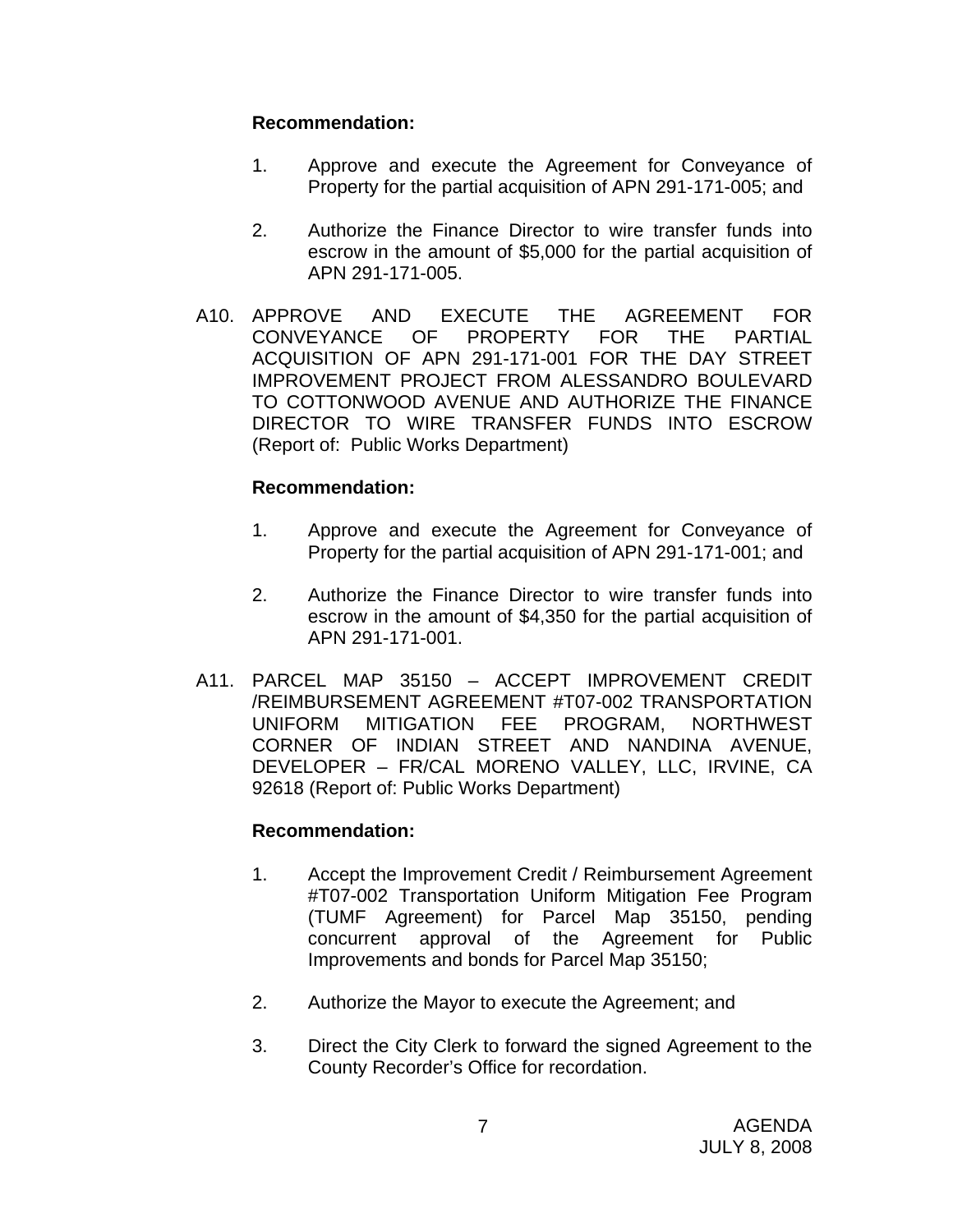- 1. Approve and execute the Agreement for Conveyance of Property for the partial acquisition of APN 291-171-005; and
- 2. Authorize the Finance Director to wire transfer funds into escrow in the amount of \$5,000 for the partial acquisition of APN 291-171-005.
- A10. APPROVE AND EXECUTE THE AGREEMENT FOR CONVEYANCE OF PROPERTY FOR THE PARTIAL ACQUISITION OF APN 291-171-001 FOR THE DAY STREET IMPROVEMENT PROJECT FROM ALESSANDRO BOULEVARD TO COTTONWOOD AVENUE AND AUTHORIZE THE FINANCE DIRECTOR TO WIRE TRANSFER FUNDS INTO ESCROW (Report of: Public Works Department)

## **Recommendation:**

- 1. Approve and execute the Agreement for Conveyance of Property for the partial acquisition of APN 291-171-001; and
- 2. Authorize the Finance Director to wire transfer funds into escrow in the amount of \$4,350 for the partial acquisition of APN 291-171-001.
- A11. PARCEL MAP 35150 ACCEPT IMPROVEMENT CREDIT /REIMBURSEMENT AGREEMENT #T07-002 TRANSPORTATION UNIFORM MITIGATION FEE PROGRAM, NORTHWEST CORNER OF INDIAN STREET AND NANDINA AVENUE, DEVELOPER – FR/CAL MORENO VALLEY, LLC, IRVINE, CA 92618 (Report of: Public Works Department)

- 1. Accept the Improvement Credit / Reimbursement Agreement #T07-002 Transportation Uniform Mitigation Fee Program (TUMF Agreement) for Parcel Map 35150, pending concurrent approval of the Agreement for Public Improvements and bonds for Parcel Map 35150;
- 2. Authorize the Mayor to execute the Agreement; and
- 3. Direct the City Clerk to forward the signed Agreement to the County Recorder's Office for recordation.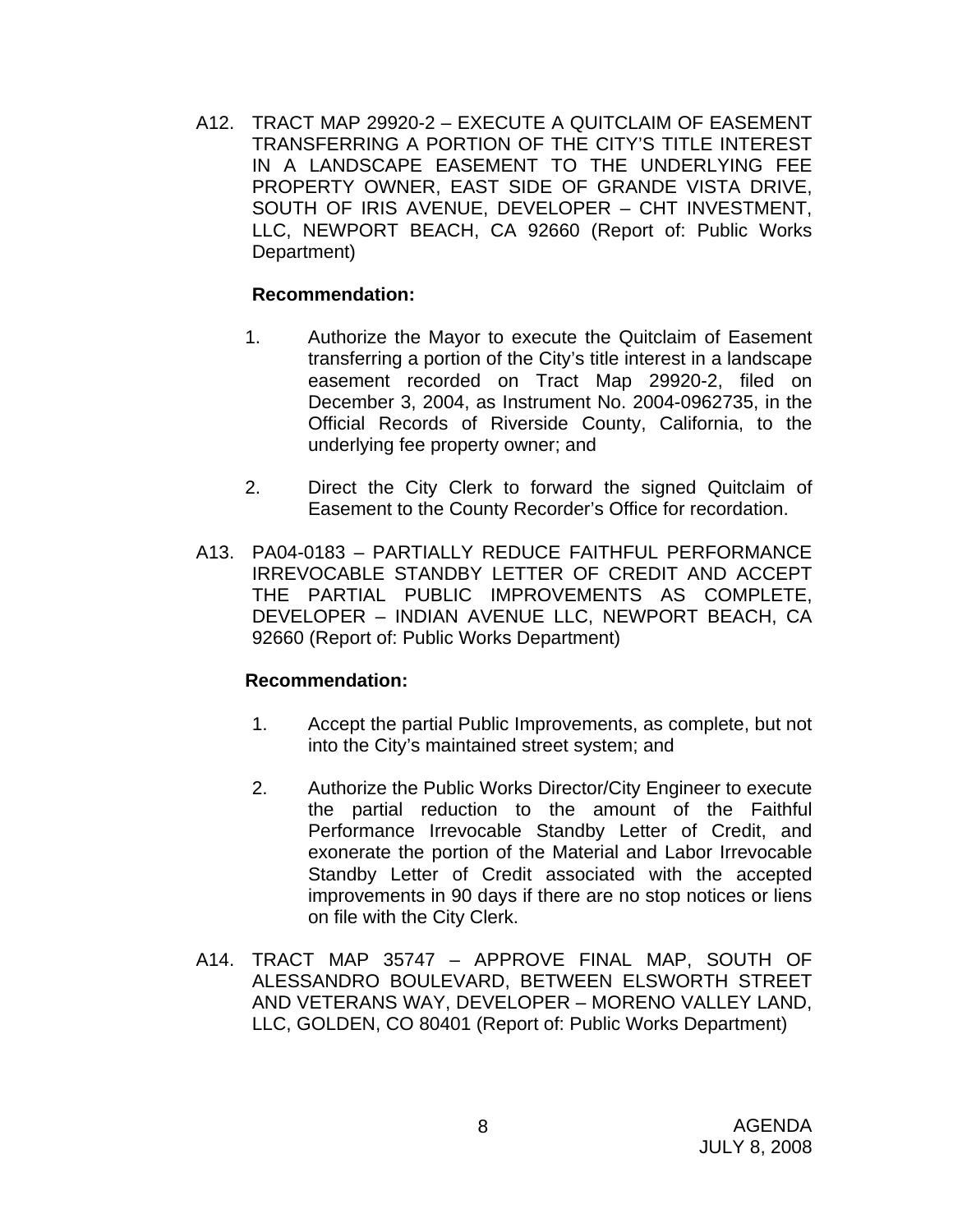A12. TRACT MAP 29920-2 – EXECUTE A QUITCLAIM OF EASEMENT TRANSFERRING A PORTION OF THE CITY'S TITLE INTEREST IN A LANDSCAPE EASEMENT TO THE UNDERLYING FEE PROPERTY OWNER, EAST SIDE OF GRANDE VISTA DRIVE, SOUTH OF IRIS AVENUE, DEVELOPER – CHT INVESTMENT, LLC, NEWPORT BEACH, CA 92660 (Report of: Public Works Department)

#### **Recommendation:**

- 1. Authorize the Mayor to execute the Quitclaim of Easement transferring a portion of the City's title interest in a landscape easement recorded on Tract Map 29920-2, filed on December 3, 2004, as Instrument No. 2004-0962735, in the Official Records of Riverside County, California, to the underlying fee property owner; and
- 2. Direct the City Clerk to forward the signed Quitclaim of Easement to the County Recorder's Office for recordation.
- A13. PA04-0183 PARTIALLY REDUCE FAITHFUL PERFORMANCE IRREVOCABLE STANDBY LETTER OF CREDIT AND ACCEPT THE PARTIAL PUBLIC IMPROVEMENTS AS COMPLETE, DEVELOPER – INDIAN AVENUE LLC, NEWPORT BEACH, CA 92660 (Report of: Public Works Department)

- 1. Accept the partial Public Improvements, as complete, but not into the City's maintained street system; and
- 2. Authorize the Public Works Director/City Engineer to execute the partial reduction to the amount of the Faithful Performance Irrevocable Standby Letter of Credit, and exonerate the portion of the Material and Labor Irrevocable Standby Letter of Credit associated with the accepted improvements in 90 days if there are no stop notices or liens on file with the City Clerk.
- A14. TRACT MAP 35747 APPROVE FINAL MAP, SOUTH OF ALESSANDRO BOULEVARD, BETWEEN ELSWORTH STREET AND VETERANS WAY, DEVELOPER – MORENO VALLEY LAND, LLC, GOLDEN, CO 80401 (Report of: Public Works Department)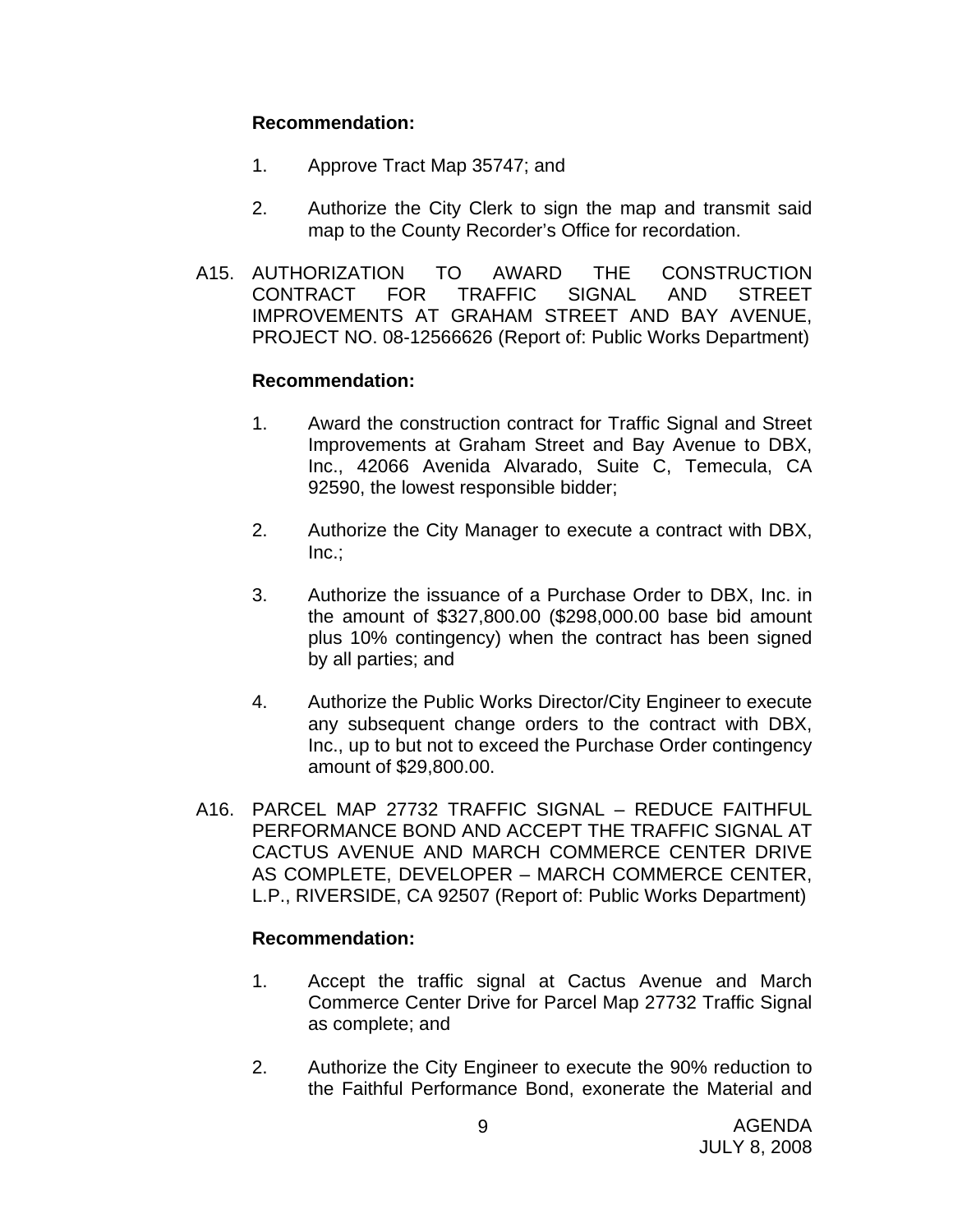- 1. Approve Tract Map 35747; and
- 2. Authorize the City Clerk to sign the map and transmit said map to the County Recorder's Office for recordation.
- A15. AUTHORIZATION TO AWARD THE CONSTRUCTION CONTRACT FOR TRAFFIC SIGNAL AND STREET IMPROVEMENTS AT GRAHAM STREET AND BAY AVENUE, PROJECT NO. 08-12566626 (Report of: Public Works Department)

## **Recommendation:**

- 1. Award the construction contract for Traffic Signal and Street Improvements at Graham Street and Bay Avenue to DBX, Inc., 42066 Avenida Alvarado, Suite C, Temecula, CA 92590, the lowest responsible bidder;
- 2. Authorize the City Manager to execute a contract with DBX, Inc.;
- 3. Authorize the issuance of a Purchase Order to DBX, Inc. in the amount of \$327,800.00 (\$298,000.00 base bid amount plus 10% contingency) when the contract has been signed by all parties; and
- 4. Authorize the Public Works Director/City Engineer to execute any subsequent change orders to the contract with DBX, Inc., up to but not to exceed the Purchase Order contingency amount of \$29,800.00.
- A16. PARCEL MAP 27732 TRAFFIC SIGNAL REDUCE FAITHFUL PERFORMANCE BOND AND ACCEPT THE TRAFFIC SIGNAL AT CACTUS AVENUE AND MARCH COMMERCE CENTER DRIVE AS COMPLETE, DEVELOPER – MARCH COMMERCE CENTER, L.P., RIVERSIDE, CA 92507 (Report of: Public Works Department)

- 1. Accept the traffic signal at Cactus Avenue and March Commerce Center Drive for Parcel Map 27732 Traffic Signal as complete; and
- 2. Authorize the City Engineer to execute the 90% reduction to the Faithful Performance Bond, exonerate the Material and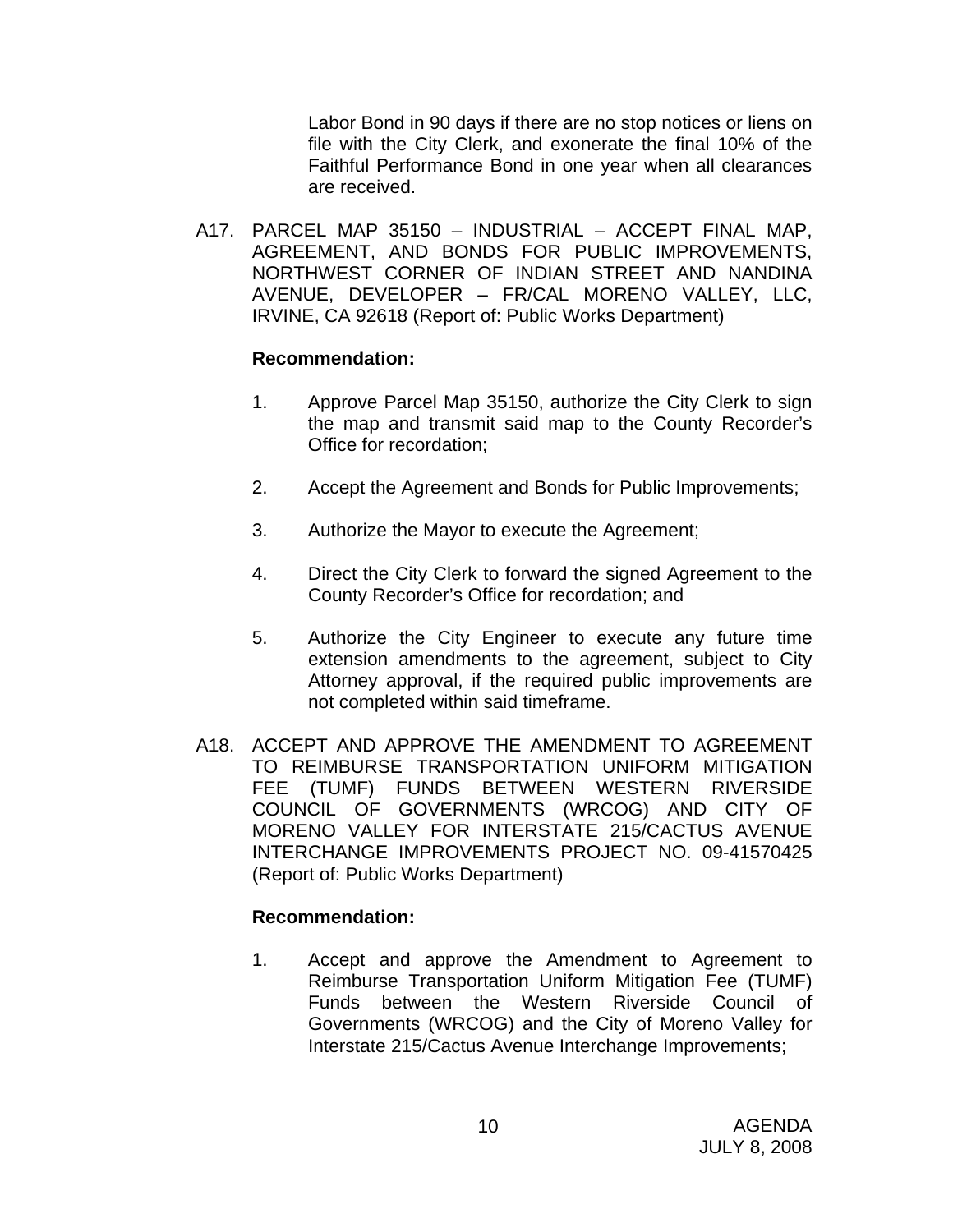Labor Bond in 90 days if there are no stop notices or liens on file with the City Clerk, and exonerate the final 10% of the Faithful Performance Bond in one year when all clearances are received.

A17. PARCEL MAP 35150 – INDUSTRIAL – ACCEPT FINAL MAP, AGREEMENT, AND BONDS FOR PUBLIC IMPROVEMENTS, NORTHWEST CORNER OF INDIAN STREET AND NANDINA AVENUE, DEVELOPER – FR/CAL MORENO VALLEY, LLC, IRVINE, CA 92618 (Report of: Public Works Department)

## **Recommendation:**

- 1. Approve Parcel Map 35150, authorize the City Clerk to sign the map and transmit said map to the County Recorder's Office for recordation;
- 2. Accept the Agreement and Bonds for Public Improvements;
- 3. Authorize the Mayor to execute the Agreement;
- 4. Direct the City Clerk to forward the signed Agreement to the County Recorder's Office for recordation; and
- 5. Authorize the City Engineer to execute any future time extension amendments to the agreement, subject to City Attorney approval, if the required public improvements are not completed within said timeframe.
- A18. ACCEPT AND APPROVE THE AMENDMENT TO AGREEMENT TO REIMBURSE TRANSPORTATION UNIFORM MITIGATION FEE (TUMF) FUNDS BETWEEN WESTERN RIVERSIDE COUNCIL OF GOVERNMENTS (WRCOG) AND CITY OF MORENO VALLEY FOR INTERSTATE 215/CACTUS AVENUE INTERCHANGE IMPROVEMENTS PROJECT NO. 09-41570425 (Report of: Public Works Department)

## **Recommendation:**

1. Accept and approve the Amendment to Agreement to Reimburse Transportation Uniform Mitigation Fee (TUMF) Funds between the Western Riverside Council of Governments (WRCOG) and the City of Moreno Valley for Interstate 215/Cactus Avenue Interchange Improvements;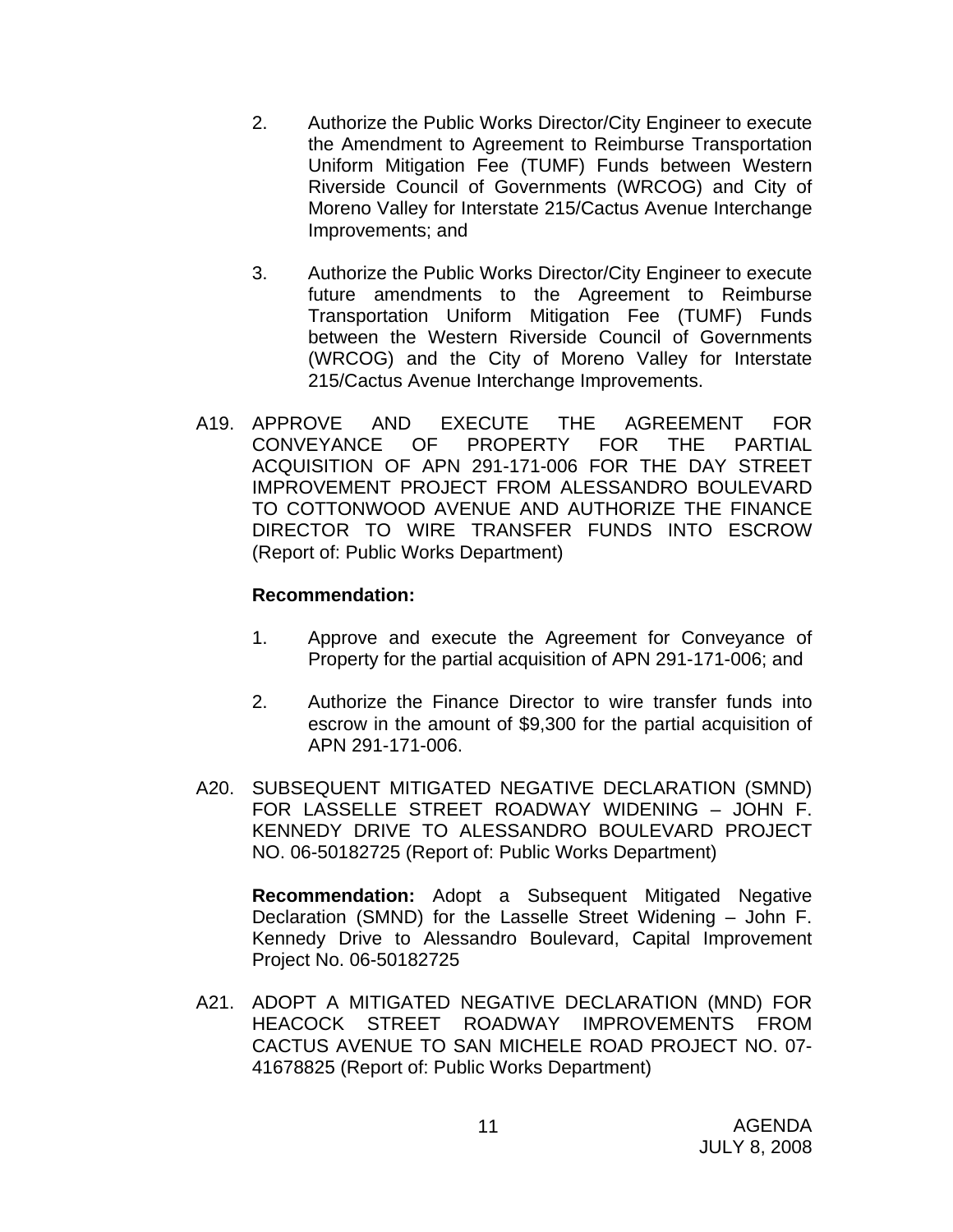- 2. Authorize the Public Works Director/City Engineer to execute the Amendment to Agreement to Reimburse Transportation Uniform Mitigation Fee (TUMF) Funds between Western Riverside Council of Governments (WRCOG) and City of Moreno Valley for Interstate 215/Cactus Avenue Interchange Improvements; and
- 3. Authorize the Public Works Director/City Engineer to execute future amendments to the Agreement to Reimburse Transportation Uniform Mitigation Fee (TUMF) Funds between the Western Riverside Council of Governments (WRCOG) and the City of Moreno Valley for Interstate 215/Cactus Avenue Interchange Improvements.
- A19. APPROVE AND EXECUTE THE AGREEMENT FOR CONVEYANCE OF PROPERTY FOR THE PARTIAL ACQUISITION OF APN 291-171-006 FOR THE DAY STREET IMPROVEMENT PROJECT FROM ALESSANDRO BOULEVARD TO COTTONWOOD AVENUE AND AUTHORIZE THE FINANCE DIRECTOR TO WIRE TRANSFER FUNDS INTO ESCROW (Report of: Public Works Department)

- 1. Approve and execute the Agreement for Conveyance of Property for the partial acquisition of APN 291-171-006; and
- 2. Authorize the Finance Director to wire transfer funds into escrow in the amount of \$9,300 for the partial acquisition of APN 291-171-006.
- A20. SUBSEQUENT MITIGATED NEGATIVE DECLARATION (SMND) FOR LASSELLE STREET ROADWAY WIDENING – JOHN F. KENNEDY DRIVE TO ALESSANDRO BOULEVARD PROJECT NO. 06-50182725 (Report of: Public Works Department)

**Recommendation:** Adopt a Subsequent Mitigated Negative Declaration (SMND) for the Lasselle Street Widening – John F. Kennedy Drive to Alessandro Boulevard, Capital Improvement Project No. 06-50182725

A21. ADOPT A MITIGATED NEGATIVE DECLARATION (MND) FOR HEACOCK STREET ROADWAY IMPROVEMENTS FROM CACTUS AVENUE TO SAN MICHELE ROAD PROJECT NO. 07- 41678825 (Report of: Public Works Department)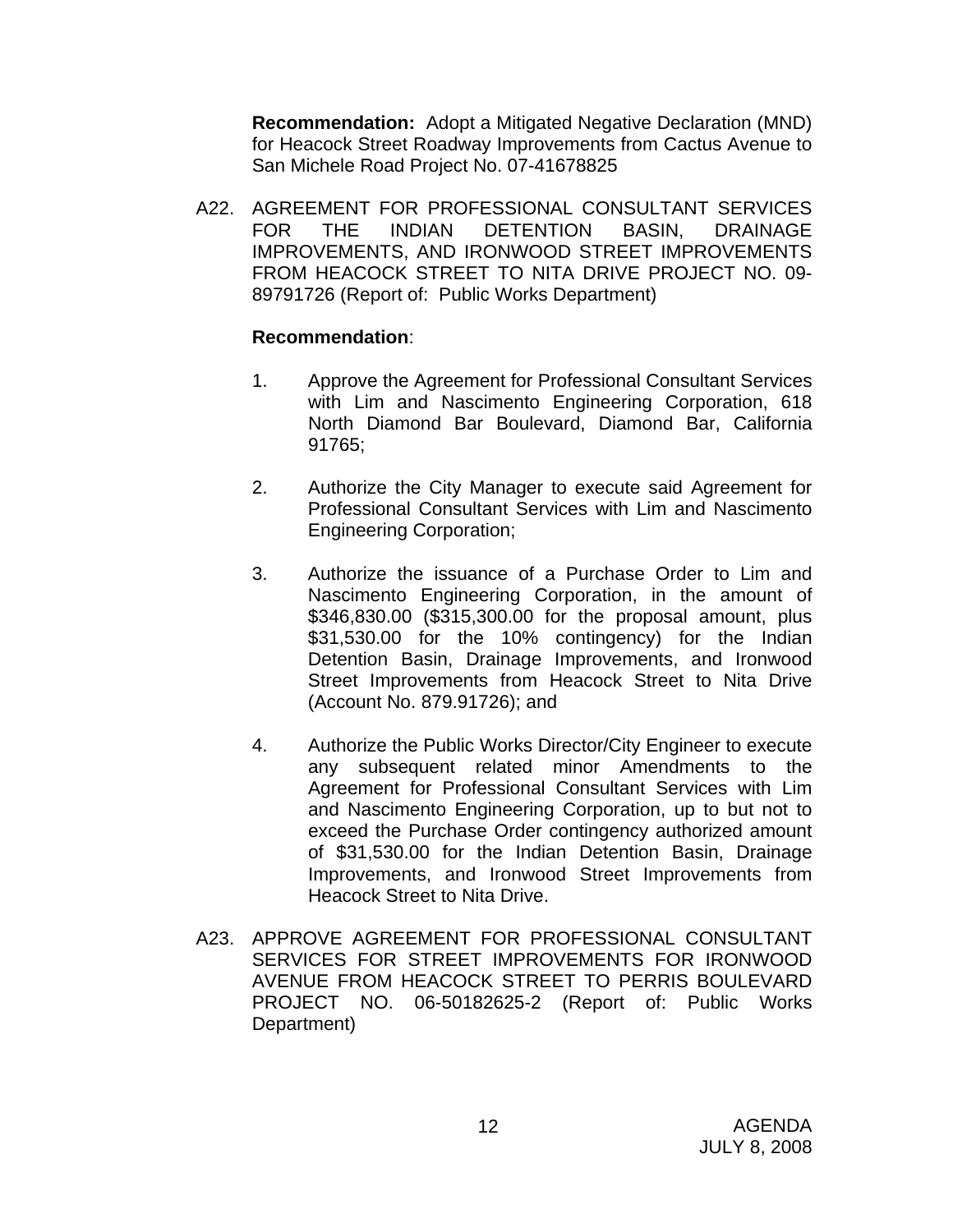**Recommendation:** Adopt a Mitigated Negative Declaration (MND) for Heacock Street Roadway Improvements from Cactus Avenue to San Michele Road Project No. 07-41678825

A22. AGREEMENT FOR PROFESSIONAL CONSULTANT SERVICES FOR THE INDIAN DETENTION BASIN, DRAINAGE IMPROVEMENTS, AND IRONWOOD STREET IMPROVEMENTS FROM HEACOCK STREET TO NITA DRIVE PROJECT NO. 09- 89791726 (Report of: Public Works Department)

- 1. Approve the Agreement for Professional Consultant Services with Lim and Nascimento Engineering Corporation, 618 North Diamond Bar Boulevard, Diamond Bar, California 91765;
- 2. Authorize the City Manager to execute said Agreement for Professional Consultant Services with Lim and Nascimento Engineering Corporation;
- 3. Authorize the issuance of a Purchase Order to Lim and Nascimento Engineering Corporation, in the amount of \$346,830.00 (\$315,300.00 for the proposal amount, plus \$31,530.00 for the 10% contingency) for the Indian Detention Basin, Drainage Improvements, and Ironwood Street Improvements from Heacock Street to Nita Drive (Account No. 879.91726); and
- 4. Authorize the Public Works Director/City Engineer to execute any subsequent related minor Amendments to the Agreement for Professional Consultant Services with Lim and Nascimento Engineering Corporation, up to but not to exceed the Purchase Order contingency authorized amount of \$31,530.00 for the Indian Detention Basin, Drainage Improvements, and Ironwood Street Improvements from Heacock Street to Nita Drive.
- A23. APPROVE AGREEMENT FOR PROFESSIONAL CONSULTANT SERVICES FOR STREET IMPROVEMENTS FOR IRONWOOD AVENUE FROM HEACOCK STREET TO PERRIS BOULEVARD PROJECT NO. 06-50182625-2 (Report of: Public Works Department)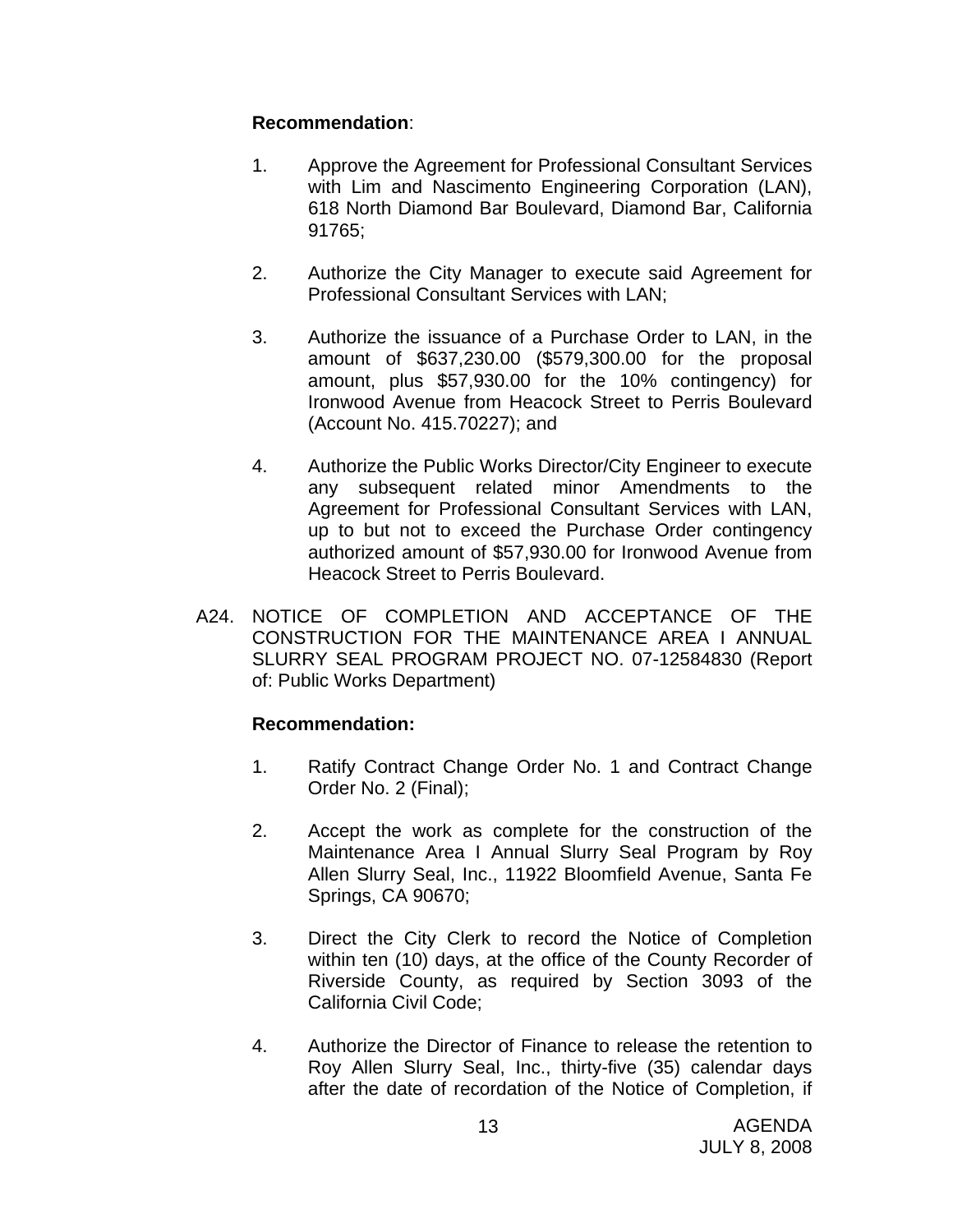- 1. Approve the Agreement for Professional Consultant Services with Lim and Nascimento Engineering Corporation (LAN), 618 North Diamond Bar Boulevard, Diamond Bar, California 91765;
- 2. Authorize the City Manager to execute said Agreement for Professional Consultant Services with LAN;
- 3. Authorize the issuance of a Purchase Order to LAN, in the amount of \$637,230.00 (\$579,300.00 for the proposal amount, plus \$57,930.00 for the 10% contingency) for Ironwood Avenue from Heacock Street to Perris Boulevard (Account No. 415.70227); and
- 4. Authorize the Public Works Director/City Engineer to execute any subsequent related minor Amendments to the Agreement for Professional Consultant Services with LAN, up to but not to exceed the Purchase Order contingency authorized amount of \$57,930.00 for Ironwood Avenue from Heacock Street to Perris Boulevard.
- A24. NOTICE OF COMPLETION AND ACCEPTANCE OF THE CONSTRUCTION FOR THE MAINTENANCE AREA I ANNUAL SLURRY SEAL PROGRAM PROJECT NO. 07-12584830 (Report of: Public Works Department)

- 1. Ratify Contract Change Order No. 1 and Contract Change Order No. 2 (Final);
- 2. Accept the work as complete for the construction of the Maintenance Area I Annual Slurry Seal Program by Roy Allen Slurry Seal, Inc., 11922 Bloomfield Avenue, Santa Fe Springs, CA 90670;
- 3. Direct the City Clerk to record the Notice of Completion within ten (10) days, at the office of the County Recorder of Riverside County, as required by Section 3093 of the California Civil Code;
- 4. Authorize the Director of Finance to release the retention to Roy Allen Slurry Seal, Inc., thirty-five (35) calendar days after the date of recordation of the Notice of Completion, if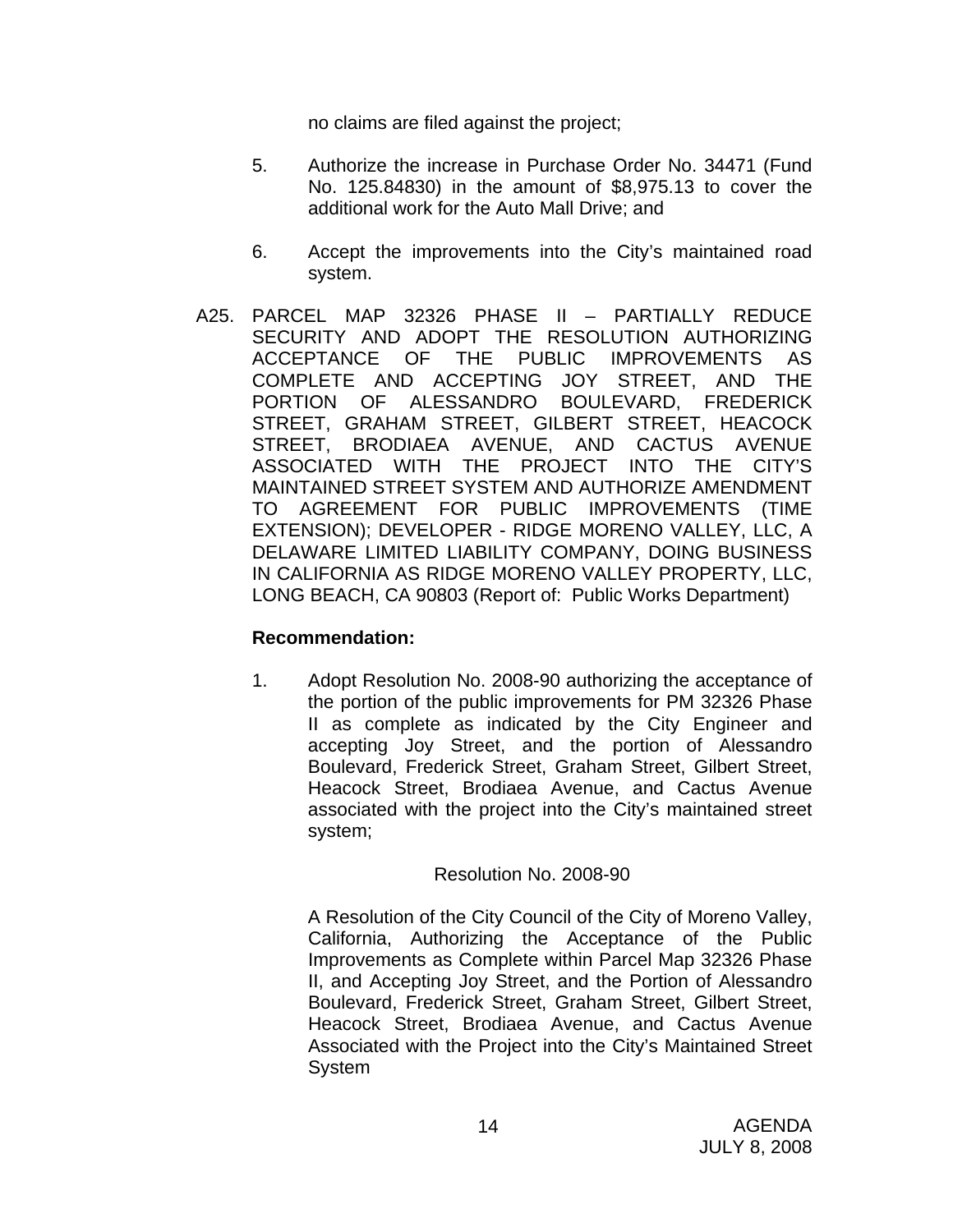no claims are filed against the project;

- 5. Authorize the increase in Purchase Order No. 34471 (Fund No. 125.84830) in the amount of \$8,975.13 to cover the additional work for the Auto Mall Drive; and
- 6. Accept the improvements into the City's maintained road system.
- A25. PARCEL MAP 32326 PHASE II PARTIALLY REDUCE SECURITY AND ADOPT THE RESOLUTION AUTHORIZING ACCEPTANCE OF THE PUBLIC IMPROVEMENTS AS COMPLETE AND ACCEPTING JOY STREET, AND THE PORTION OF ALESSANDRO BOULEVARD, FREDERICK STREET, GRAHAM STREET, GILBERT STREET, HEACOCK STREET, BRODIAEA AVENUE, AND CACTUS AVENUE ASSOCIATED WITH THE PROJECT INTO THE CITY'S MAINTAINED STREET SYSTEM AND AUTHORIZE AMENDMENT TO AGREEMENT FOR PUBLIC IMPROVEMENTS (TIME EXTENSION); DEVELOPER - RIDGE MORENO VALLEY, LLC, A DELAWARE LIMITED LIABILITY COMPANY, DOING BUSINESS IN CALIFORNIA AS RIDGE MORENO VALLEY PROPERTY, LLC, LONG BEACH, CA 90803 (Report of: Public Works Department)

## **Recommendation:**

1. Adopt Resolution No. 2008-90 authorizing the acceptance of the portion of the public improvements for PM 32326 Phase II as complete as indicated by the City Engineer and accepting Joy Street, and the portion of Alessandro Boulevard, Frederick Street, Graham Street, Gilbert Street, Heacock Street, Brodiaea Avenue, and Cactus Avenue associated with the project into the City's maintained street system;

#### Resolution No. 2008-90

A Resolution of the City Council of the City of Moreno Valley, California, Authorizing the Acceptance of the Public Improvements as Complete within Parcel Map 32326 Phase II, and Accepting Joy Street, and the Portion of Alessandro Boulevard, Frederick Street, Graham Street, Gilbert Street, Heacock Street, Brodiaea Avenue, and Cactus Avenue Associated with the Project into the City's Maintained Street System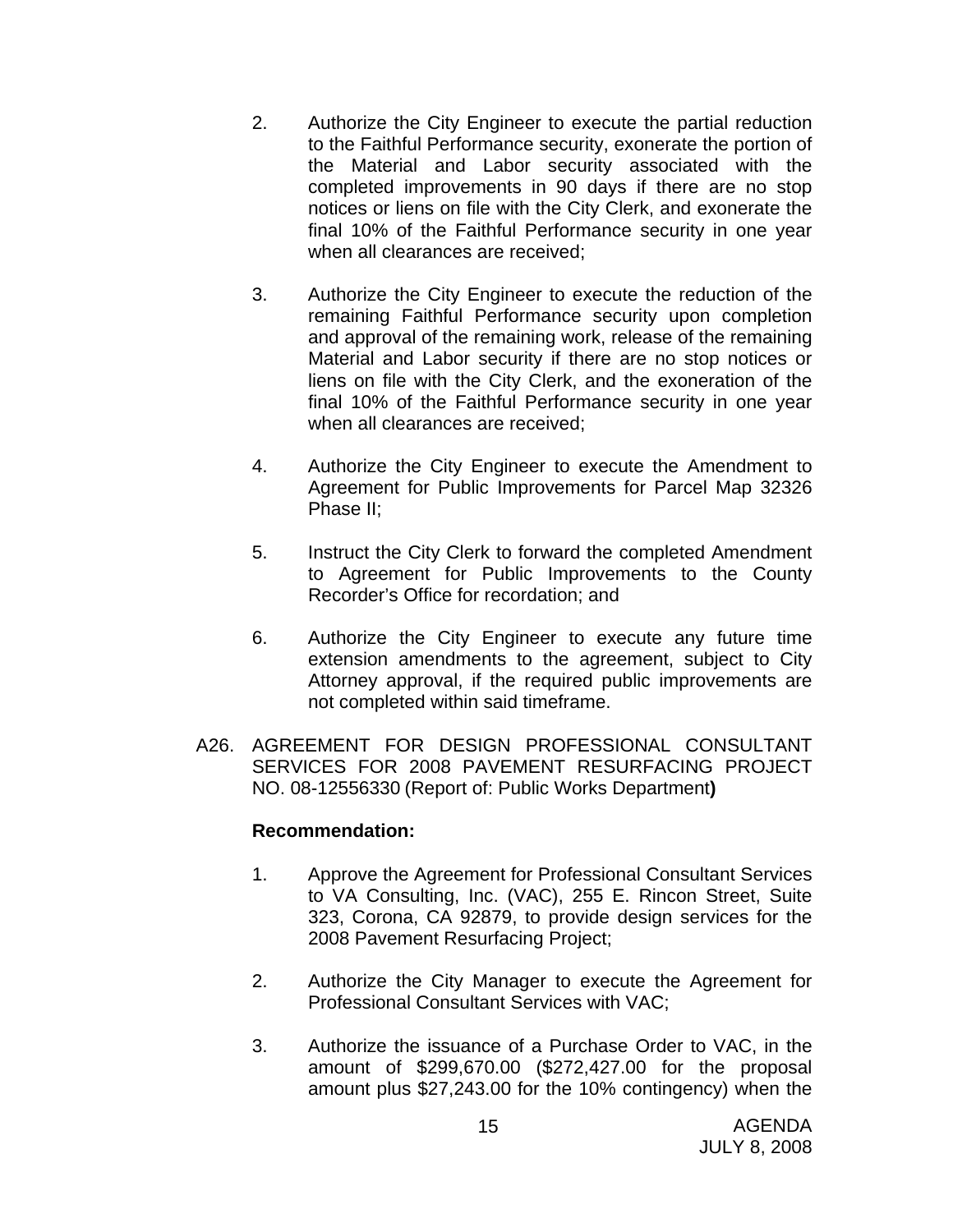- 2. Authorize the City Engineer to execute the partial reduction to the Faithful Performance security, exonerate the portion of the Material and Labor security associated with the completed improvements in 90 days if there are no stop notices or liens on file with the City Clerk, and exonerate the final 10% of the Faithful Performance security in one year when all clearances are received;
- 3. Authorize the City Engineer to execute the reduction of the remaining Faithful Performance security upon completion and approval of the remaining work, release of the remaining Material and Labor security if there are no stop notices or liens on file with the City Clerk, and the exoneration of the final 10% of the Faithful Performance security in one year when all clearances are received;
- 4. Authorize the City Engineer to execute the Amendment to Agreement for Public Improvements for Parcel Map 32326 Phase II;
- 5. Instruct the City Clerk to forward the completed Amendment to Agreement for Public Improvements to the County Recorder's Office for recordation; and
- 6. Authorize the City Engineer to execute any future time extension amendments to the agreement, subject to City Attorney approval, if the required public improvements are not completed within said timeframe.
- A26. AGREEMENT FOR DESIGN PROFESSIONAL CONSULTANT SERVICES FOR 2008 PAVEMENT RESURFACING PROJECT NO. 08-12556330 (Report of: Public Works Department**)**

- 1. Approve the Agreement for Professional Consultant Services to VA Consulting, Inc. (VAC), 255 E. Rincon Street, Suite 323, Corona, CA 92879, to provide design services for the 2008 Pavement Resurfacing Project;
- 2. Authorize the City Manager to execute the Agreement for Professional Consultant Services with VAC;
- 3. Authorize the issuance of a Purchase Order to VAC, in the amount of \$299,670.00 (\$272,427.00 for the proposal amount plus \$27,243.00 for the 10% contingency) when the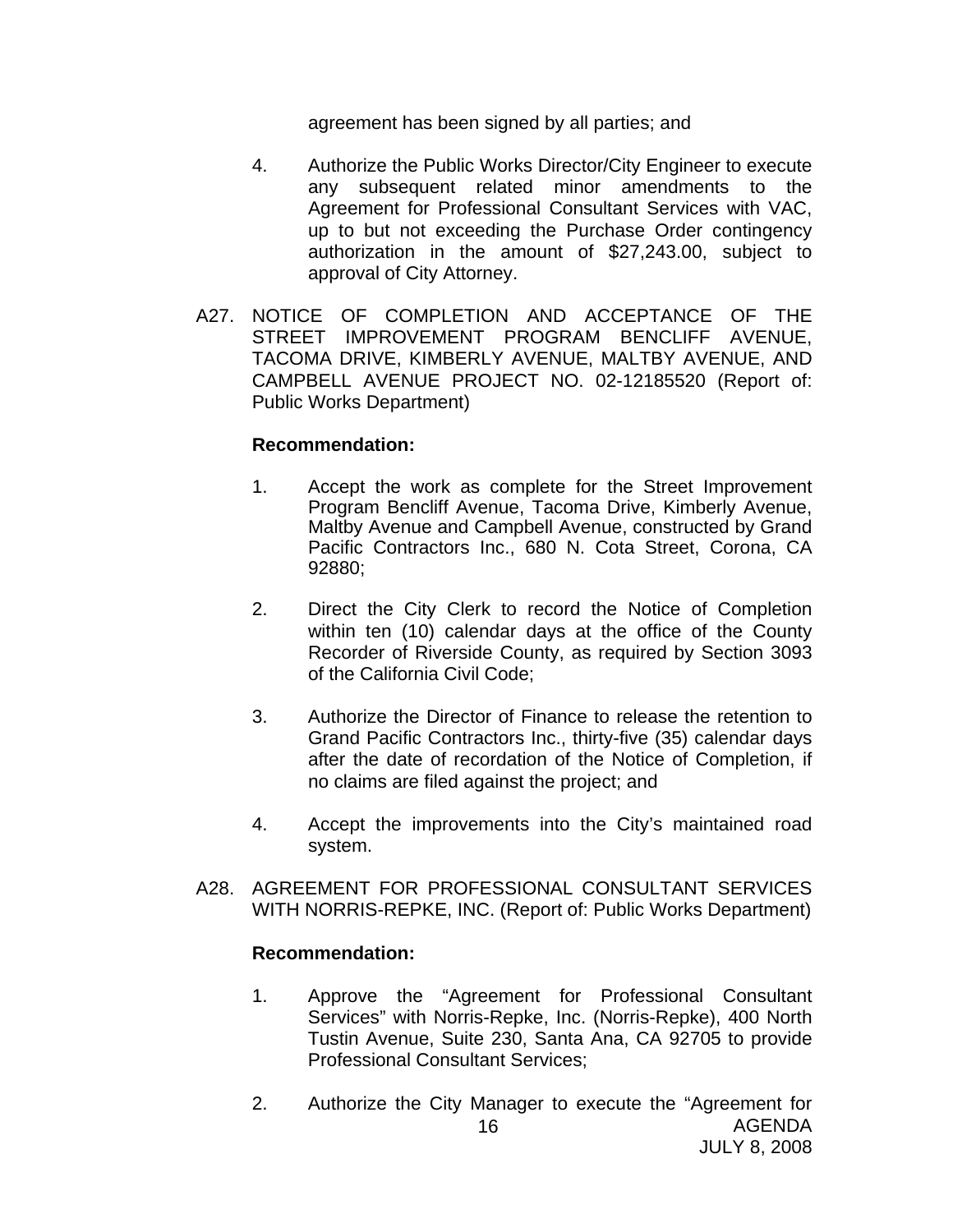agreement has been signed by all parties; and

- 4. Authorize the Public Works Director/City Engineer to execute any subsequent related minor amendments to the Agreement for Professional Consultant Services with VAC, up to but not exceeding the Purchase Order contingency authorization in the amount of \$27,243.00, subject to approval of City Attorney.
- A27. NOTICE OF COMPLETION AND ACCEPTANCE OF THE STREET IMPROVEMENT PROGRAM BENCLIFF AVENUE, TACOMA DRIVE, KIMBERLY AVENUE, MALTBY AVENUE, AND CAMPBELL AVENUE PROJECT NO. 02-12185520 (Report of: Public Works Department)

#### **Recommendation:**

- 1. Accept the work as complete for the Street Improvement Program Bencliff Avenue, Tacoma Drive, Kimberly Avenue, Maltby Avenue and Campbell Avenue, constructed by Grand Pacific Contractors Inc., 680 N. Cota Street, Corona, CA 92880;
- 2. Direct the City Clerk to record the Notice of Completion within ten (10) calendar days at the office of the County Recorder of Riverside County, as required by Section 3093 of the California Civil Code;
- 3. Authorize the Director of Finance to release the retention to Grand Pacific Contractors Inc., thirty-five (35) calendar days after the date of recordation of the Notice of Completion, if no claims are filed against the project; and
- 4. Accept the improvements into the City's maintained road system.
- A28. AGREEMENT FOR PROFESSIONAL CONSULTANT SERVICES WITH NORRIS-REPKE, INC. (Report of: Public Works Department)

- 1. Approve the "Agreement for Professional Consultant Services" with Norris-Repke, Inc. (Norris-Repke), 400 North Tustin Avenue, Suite 230, Santa Ana, CA 92705 to provide Professional Consultant Services;
- AGENDA JULY 8, 2008 16 2. Authorize the City Manager to execute the "Agreement for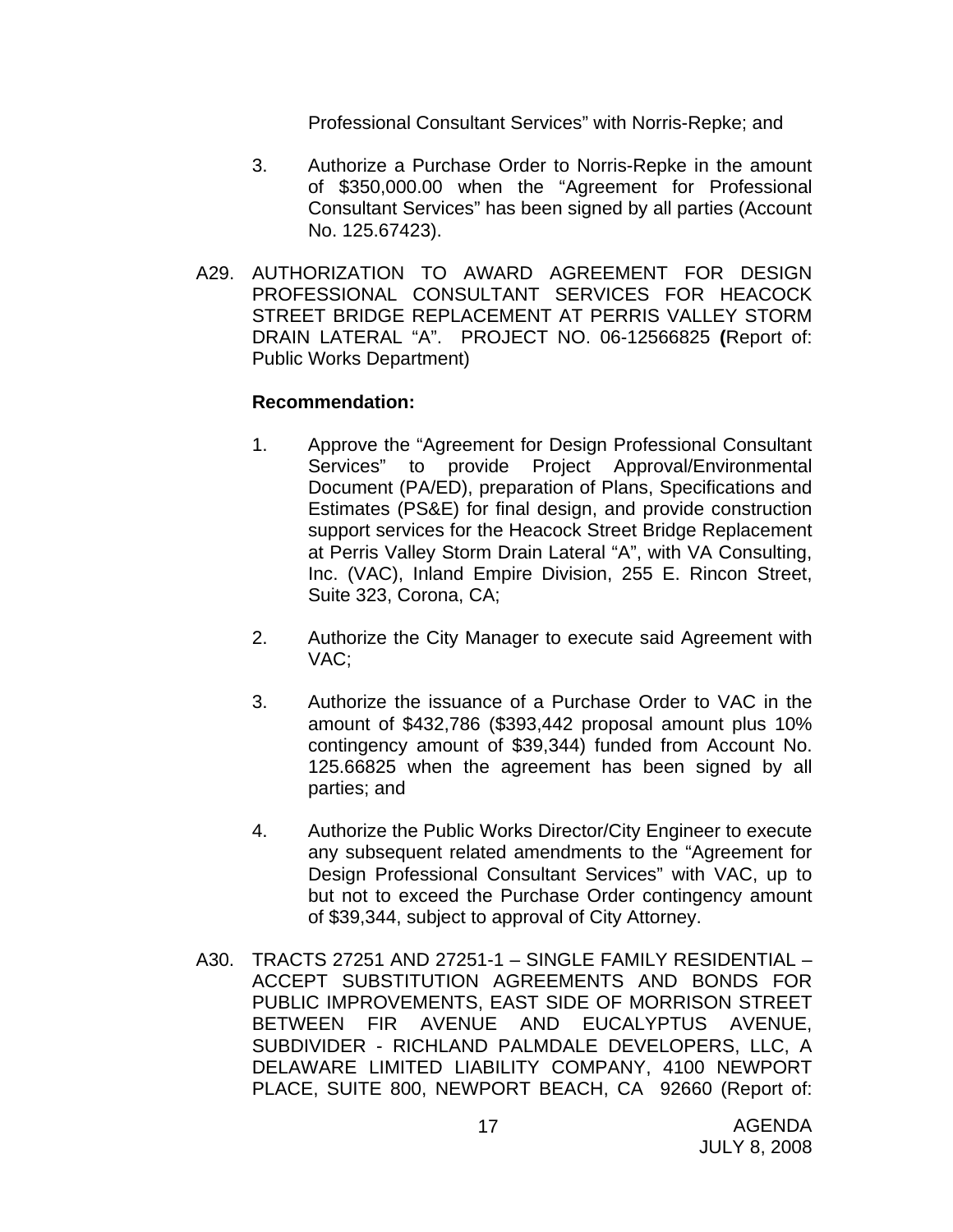Professional Consultant Services" with Norris-Repke; and

- 3. Authorize a Purchase Order to Norris-Repke in the amount of \$350,000.00 when the "Agreement for Professional Consultant Services" has been signed by all parties (Account No. 125.67423).
- A29. AUTHORIZATION TO AWARD AGREEMENT FOR DESIGN PROFESSIONAL CONSULTANT SERVICES FOR HEACOCK STREET BRIDGE REPLACEMENT AT PERRIS VALLEY STORM DRAIN LATERAL "A". PROJECT NO. 06-12566825 **(**Report of: Public Works Department)

- 1. Approve the "Agreement for Design Professional Consultant Services" to provide Project Approval/Environmental Document (PA/ED), preparation of Plans, Specifications and Estimates (PS&E) for final design, and provide construction support services for the Heacock Street Bridge Replacement at Perris Valley Storm Drain Lateral "A", with VA Consulting, Inc. (VAC), Inland Empire Division, 255 E. Rincon Street, Suite 323, Corona, CA;
- 2. Authorize the City Manager to execute said Agreement with VAC;
- 3. Authorize the issuance of a Purchase Order to VAC in the amount of \$432,786 (\$393,442 proposal amount plus 10% contingency amount of \$39,344) funded from Account No. 125.66825 when the agreement has been signed by all parties; and
- 4. Authorize the Public Works Director/City Engineer to execute any subsequent related amendments to the "Agreement for Design Professional Consultant Services" with VAC, up to but not to exceed the Purchase Order contingency amount of \$39,344, subject to approval of City Attorney.
- A30. TRACTS 27251 AND 27251-1 SINGLE FAMILY RESIDENTIAL ACCEPT SUBSTITUTION AGREEMENTS AND BONDS FOR PUBLIC IMPROVEMENTS, EAST SIDE OF MORRISON STREET BETWEEN FIR AVENUE AND EUCALYPTUS AVENUE, SUBDIVIDER - RICHLAND PALMDALE DEVELOPERS, LLC, A DELAWARE LIMITED LIABILITY COMPANY, 4100 NEWPORT PLACE, SUITE 800, NEWPORT BEACH, CA 92660 (Report of: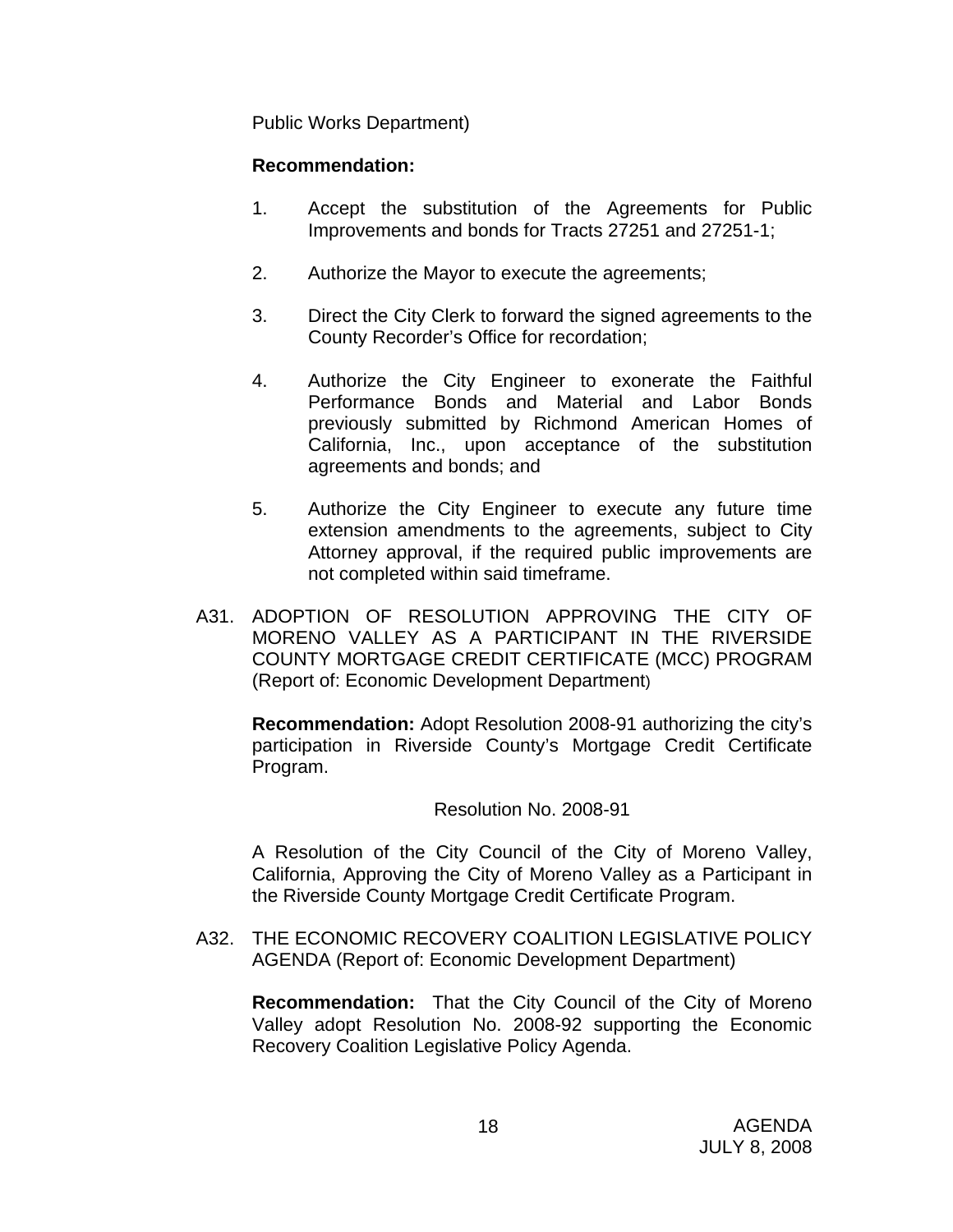Public Works Department)

## **Recommendation:**

- 1. Accept the substitution of the Agreements for Public Improvements and bonds for Tracts 27251 and 27251-1;
- 2. Authorize the Mayor to execute the agreements;
- 3. Direct the City Clerk to forward the signed agreements to the County Recorder's Office for recordation;
- 4. Authorize the City Engineer to exonerate the Faithful Performance Bonds and Material and Labor Bonds previously submitted by Richmond American Homes of California, Inc., upon acceptance of the substitution agreements and bonds; and
- 5. Authorize the City Engineer to execute any future time extension amendments to the agreements, subject to City Attorney approval, if the required public improvements are not completed within said timeframe.
- A31. ADOPTION OF RESOLUTION APPROVING THE CITY OF MORENO VALLEY AS A PARTICIPANT IN THE RIVERSIDE COUNTY MORTGAGE CREDIT CERTIFICATE (MCC) PROGRAM (Report of: Economic Development Department)

**Recommendation:** Adopt Resolution 2008-91 authorizing the city's participation in Riverside County's Mortgage Credit Certificate Program.

Resolution No. 2008-91

A Resolution of the City Council of the City of Moreno Valley, California, Approving the City of Moreno Valley as a Participant in the Riverside County Mortgage Credit Certificate Program.

A32. THE ECONOMIC RECOVERY COALITION LEGISLATIVE POLICY AGENDA (Report of: Economic Development Department)

**Recommendation:** That the City Council of the City of Moreno Valley adopt Resolution No. 2008-92 supporting the Economic Recovery Coalition Legislative Policy Agenda.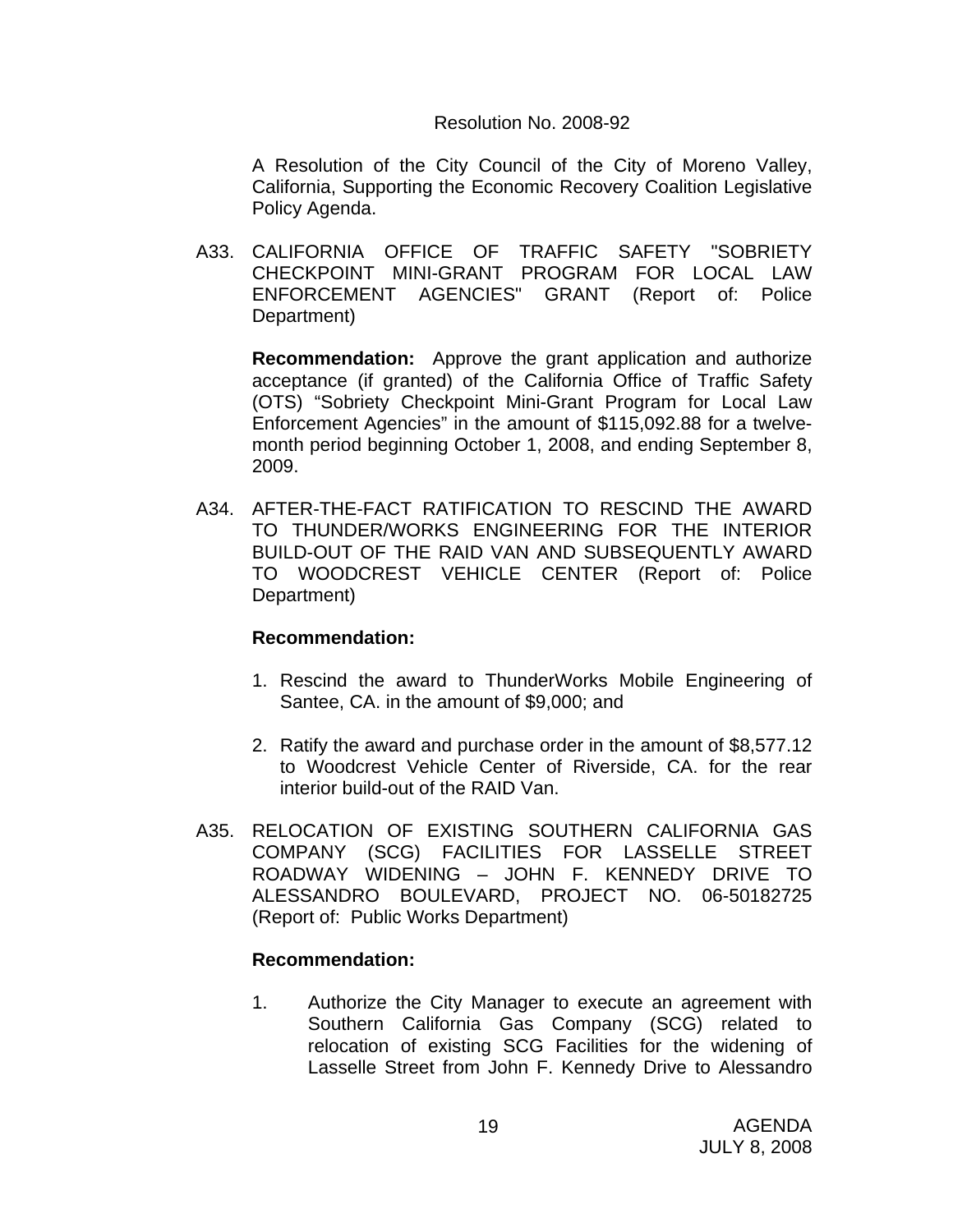#### Resolution No. 2008-92

 A Resolution of the City Council of the City of Moreno Valley, California, Supporting the Economic Recovery Coalition Legislative Policy Agenda.

A33. CALIFORNIA OFFICE OF TRAFFIC SAFETY "SOBRIETY CHECKPOINT MINI-GRANT PROGRAM FOR LOCAL LAW ENFORCEMENT AGENCIES" GRANT (Report of: Police Department)

**Recommendation:** Approve the grant application and authorize acceptance (if granted) of the California Office of Traffic Safety (OTS) "Sobriety Checkpoint Mini-Grant Program for Local Law Enforcement Agencies" in the amount of \$115,092.88 for a twelvemonth period beginning October 1, 2008, and ending September 8, 2009.

A34. AFTER-THE-FACT RATIFICATION TO RESCIND THE AWARD TO THUNDER/WORKS ENGINEERING FOR THE INTERIOR BUILD-OUT OF THE RAID VAN AND SUBSEQUENTLY AWARD TO WOODCREST VEHICLE CENTER (Report of: Police Department)

#### **Recommendation:**

- 1. Rescind the award to ThunderWorks Mobile Engineering of Santee, CA. in the amount of \$9,000; and
- 2. Ratify the award and purchase order in the amount of \$8,577.12 to Woodcrest Vehicle Center of Riverside, CA. for the rear interior build-out of the RAID Van.
- A35. RELOCATION OF EXISTING SOUTHERN CALIFORNIA GAS COMPANY (SCG) FACILITIES FOR LASSELLE STREET ROADWAY WIDENING – JOHN F. KENNEDY DRIVE TO ALESSANDRO BOULEVARD, PROJECT NO. 06-50182725 (Report of: Public Works Department)

#### **Recommendation:**

1. Authorize the City Manager to execute an agreement with Southern California Gas Company (SCG) related to relocation of existing SCG Facilities for the widening of Lasselle Street from John F. Kennedy Drive to Alessandro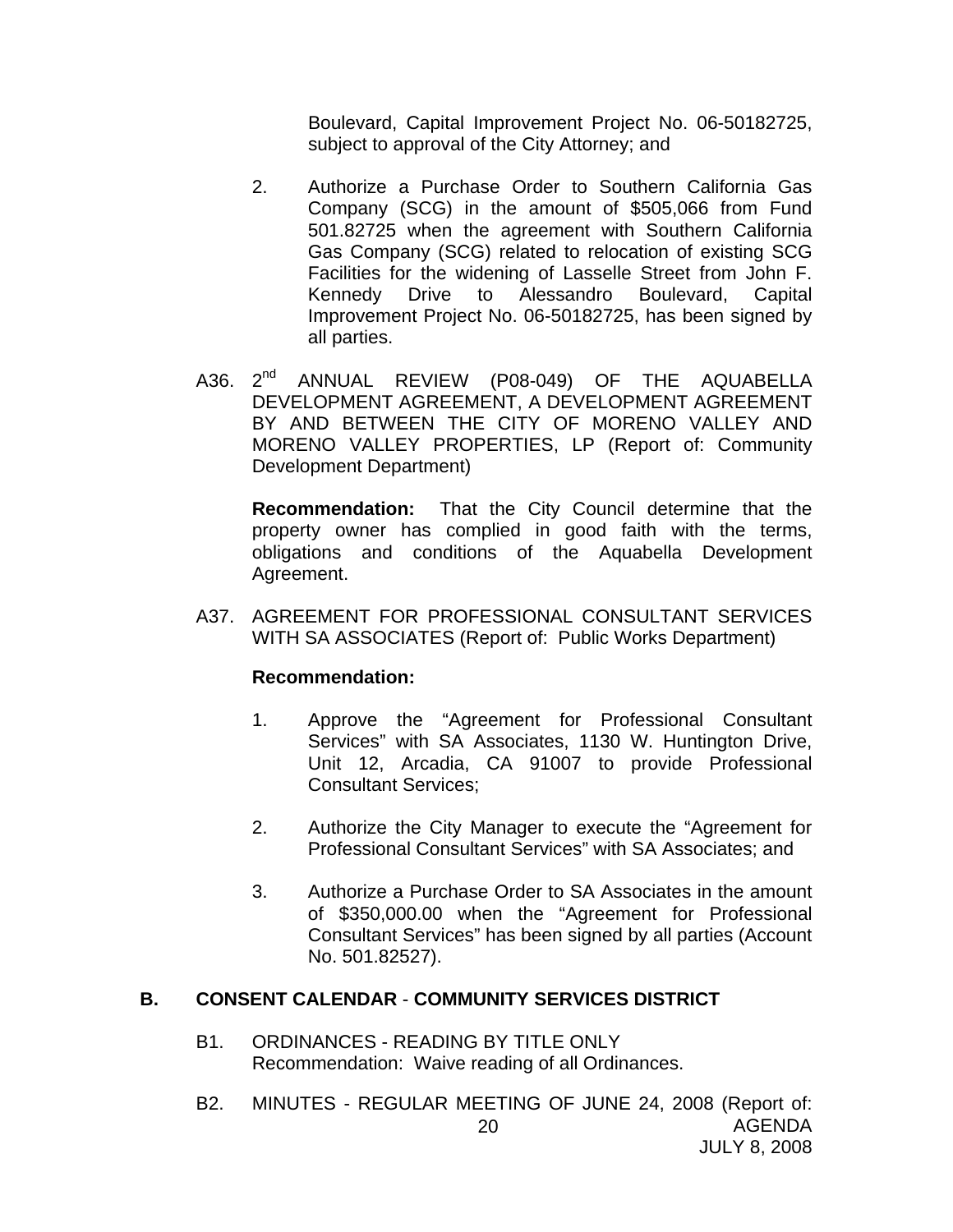Boulevard, Capital Improvement Project No. 06-50182725, subject to approval of the City Attorney; and

- 2. Authorize a Purchase Order to Southern California Gas Company (SCG) in the amount of \$505,066 from Fund 501.82725 when the agreement with Southern California Gas Company (SCG) related to relocation of existing SCG Facilities for the widening of Lasselle Street from John F. Kennedy Drive to Alessandro Boulevard, Capital Improvement Project No. 06-50182725, has been signed by all parties.
- A36. 2<sup>nd</sup> ANNUAL REVIEW (P08-049) OF THE AQUABELLA DEVELOPMENT AGREEMENT, A DEVELOPMENT AGREEMENT BY AND BETWEEN THE CITY OF MORENO VALLEY AND MORENO VALLEY PROPERTIES, LP (Report of: Community Development Department)

 **Recommendation:** That the City Council determine that the property owner has complied in good faith with the terms, obligations and conditions of the Aquabella Development Agreement.

A37. AGREEMENT FOR PROFESSIONAL CONSULTANT SERVICES WITH SA ASSOCIATES (Report of: Public Works Department)

#### **Recommendation:**

- 1. Approve the "Agreement for Professional Consultant Services" with SA Associates, 1130 W. Huntington Drive, Unit 12, Arcadia, CA 91007 to provide Professional Consultant Services;
- 2. Authorize the City Manager to execute the "Agreement for Professional Consultant Services" with SA Associates; and
- 3. Authorize a Purchase Order to SA Associates in the amount of \$350,000.00 when the "Agreement for Professional Consultant Services" has been signed by all parties (Account No. 501.82527).

#### **B. CONSENT CALENDAR** - **COMMUNITY SERVICES DISTRICT**

- B1. ORDINANCES READING BY TITLE ONLY Recommendation: Waive reading of all Ordinances.
- AGENDA JULY 8, 2008 20 B2. MINUTES - REGULAR MEETING OF JUNE 24, 2008 (Report of: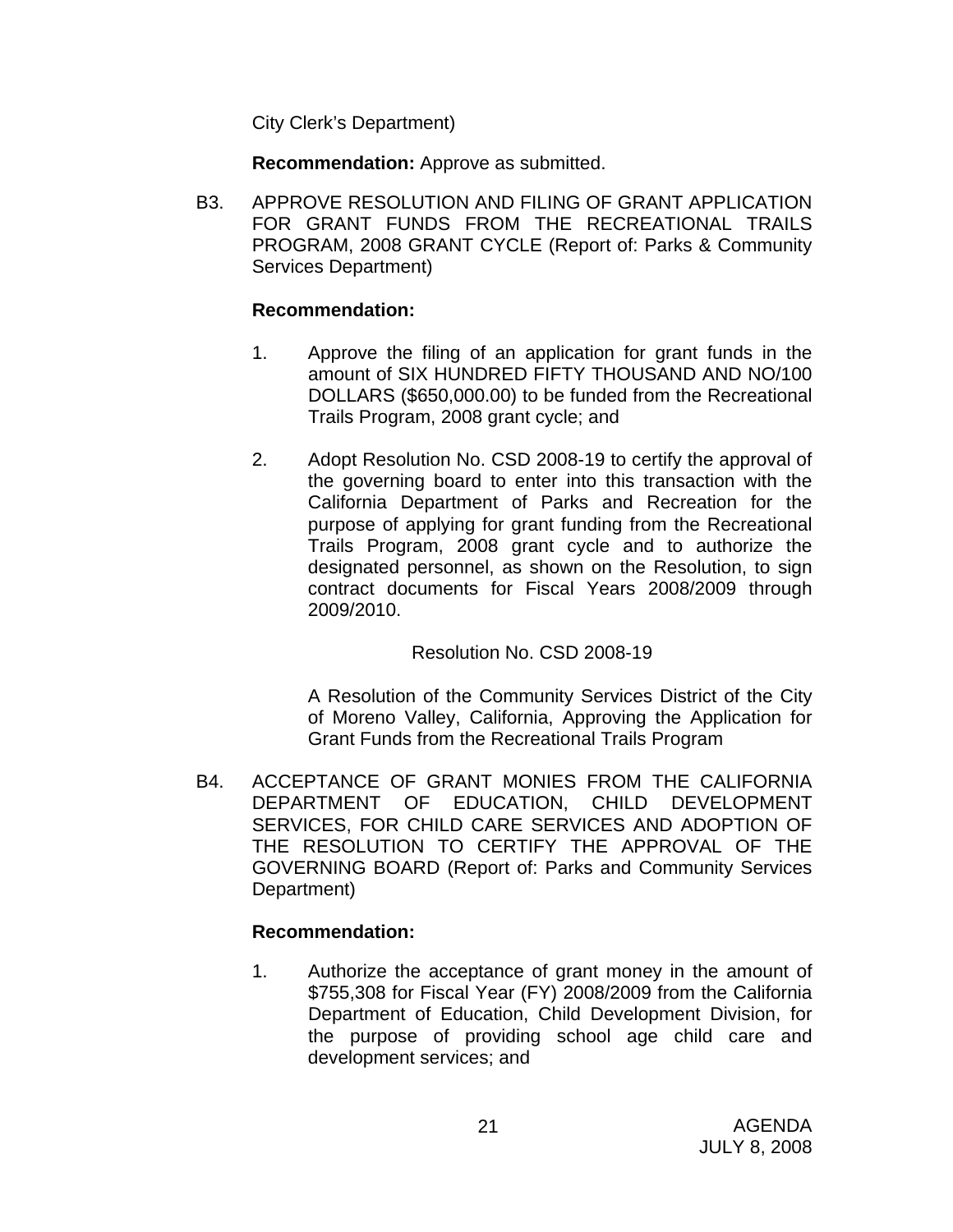City Clerk's Department)

**Recommendation:** Approve as submitted.

B3. APPROVE RESOLUTION AND FILING OF GRANT APPLICATION FOR GRANT FUNDS FROM THE RECREATIONAL TRAILS PROGRAM, 2008 GRANT CYCLE (Report of: Parks & Community Services Department)

#### **Recommendation:**

- 1. Approve the filing of an application for grant funds in the amount of SIX HUNDRED FIFTY THOUSAND AND NO/100 DOLLARS (\$650,000.00) to be funded from the Recreational Trails Program, 2008 grant cycle; and
- 2. Adopt Resolution No. CSD 2008-19 to certify the approval of the governing board to enter into this transaction with the California Department of Parks and Recreation for the purpose of applying for grant funding from the Recreational Trails Program, 2008 grant cycle and to authorize the designated personnel, as shown on the Resolution, to sign contract documents for Fiscal Years 2008/2009 through 2009/2010.

## Resolution No. CSD 2008-19

A Resolution of the Community Services District of the City of Moreno Valley, California, Approving the Application for Grant Funds from the Recreational Trails Program

B4. ACCEPTANCE OF GRANT MONIES FROM THE CALIFORNIA DEPARTMENT OF EDUCATION, CHILD DEVELOPMENT SERVICES, FOR CHILD CARE SERVICES AND ADOPTION OF THE RESOLUTION TO CERTIFY THE APPROVAL OF THE GOVERNING BOARD (Report of: Parks and Community Services Department)

## **Recommendation:**

1. Authorize the acceptance of grant money in the amount of \$755,308 for Fiscal Year (FY) 2008/2009 from the California Department of Education, Child Development Division, for the purpose of providing school age child care and development services; and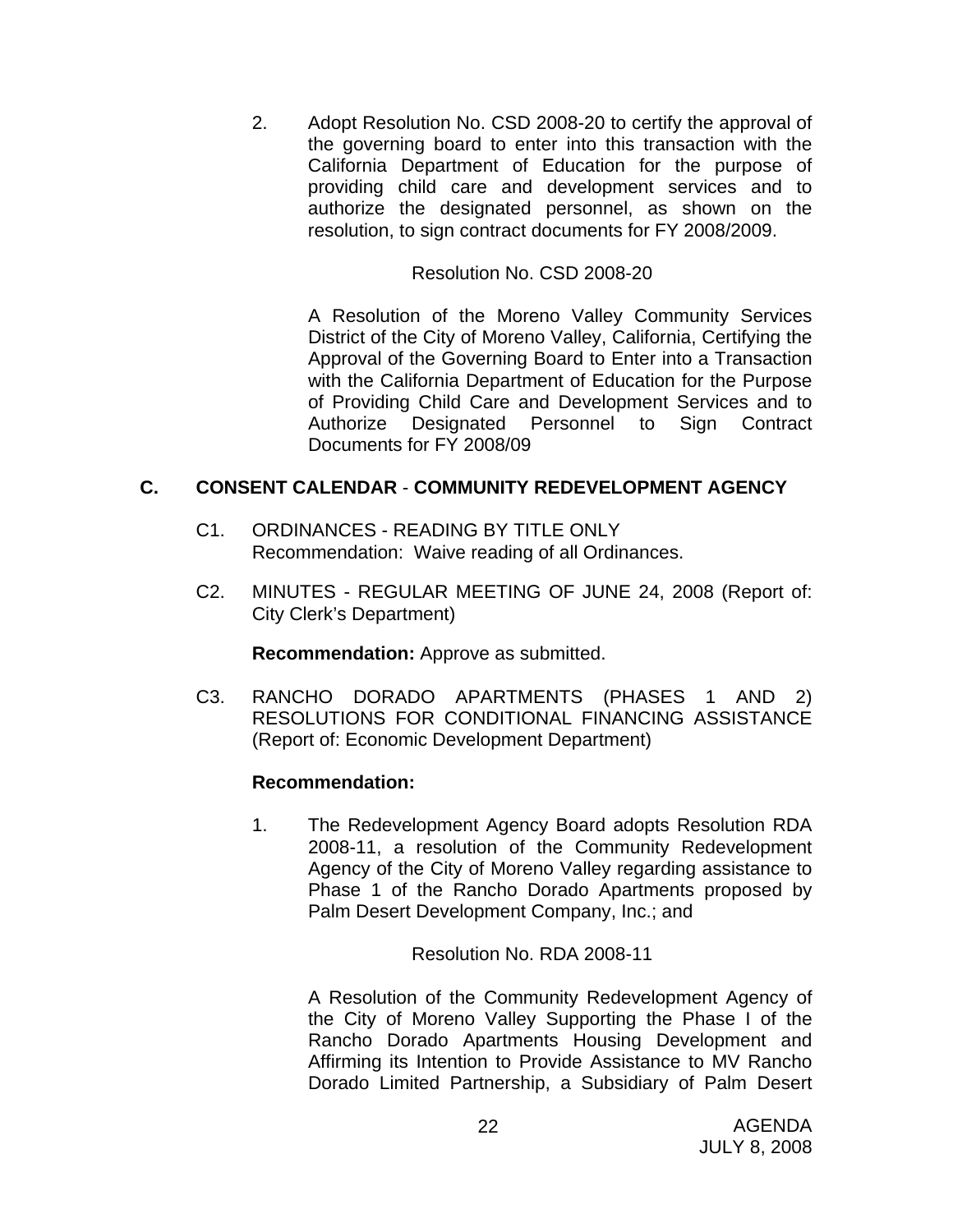2. Adopt Resolution No. CSD 2008-20 to certify the approval of the governing board to enter into this transaction with the California Department of Education for the purpose of providing child care and development services and to authorize the designated personnel, as shown on the resolution, to sign contract documents for FY 2008/2009.

#### Resolution No. CSD 2008-20

A Resolution of the Moreno Valley Community Services District of the City of Moreno Valley, California, Certifying the Approval of the Governing Board to Enter into a Transaction with the California Department of Education for the Purpose of Providing Child Care and Development Services and to Authorize Designated Personnel to Sign Contract Documents for FY 2008/09

## **C. CONSENT CALENDAR** - **COMMUNITY REDEVELOPMENT AGENCY**

- C1. ORDINANCES READING BY TITLE ONLY Recommendation: Waive reading of all Ordinances.
- C2. MINUTES REGULAR MEETING OF JUNE 24, 2008 (Report of: City Clerk's Department)

**Recommendation:** Approve as submitted.

C3. RANCHO DORADO APARTMENTS (PHASES 1 AND 2) RESOLUTIONS FOR CONDITIONAL FINANCING ASSISTANCE (Report of: Economic Development Department)

## **Recommendation:**

1. The Redevelopment Agency Board adopts Resolution RDA 2008-11, a resolution of the Community Redevelopment Agency of the City of Moreno Valley regarding assistance to Phase 1 of the Rancho Dorado Apartments proposed by Palm Desert Development Company, Inc.; and

#### Resolution No. RDA 2008-11

A Resolution of the Community Redevelopment Agency of the City of Moreno Valley Supporting the Phase I of the Rancho Dorado Apartments Housing Development and Affirming its Intention to Provide Assistance to MV Rancho Dorado Limited Partnership, a Subsidiary of Palm Desert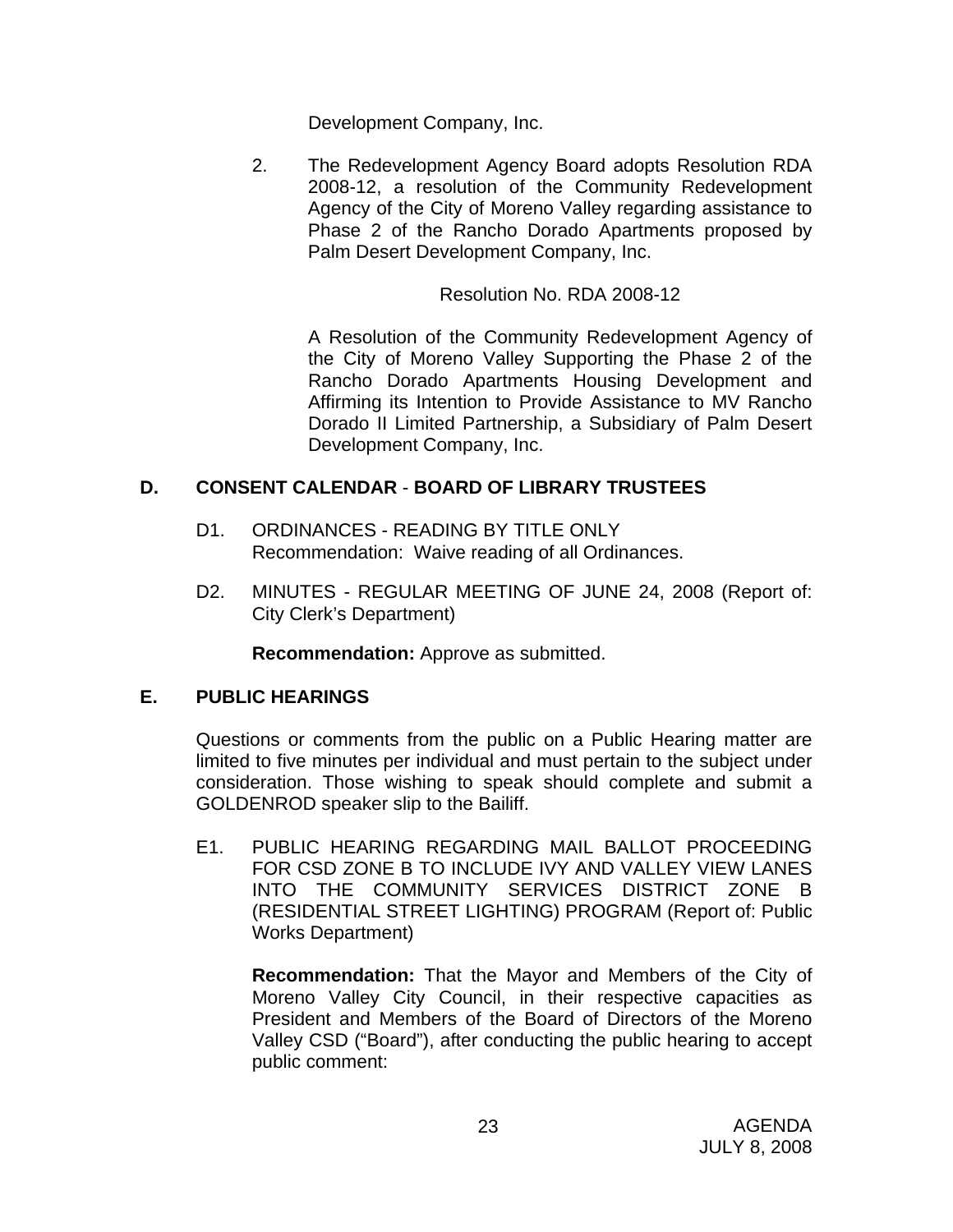Development Company, Inc.

2. The Redevelopment Agency Board adopts Resolution RDA 2008-12, a resolution of the Community Redevelopment Agency of the City of Moreno Valley regarding assistance to Phase 2 of the Rancho Dorado Apartments proposed by Palm Desert Development Company, Inc.

Resolution No. RDA 2008-12

A Resolution of the Community Redevelopment Agency of the City of Moreno Valley Supporting the Phase 2 of the Rancho Dorado Apartments Housing Development and Affirming its Intention to Provide Assistance to MV Rancho Dorado II Limited Partnership, a Subsidiary of Palm Desert Development Company, Inc.

## **D. CONSENT CALENDAR** - **BOARD OF LIBRARY TRUSTEES**

- D1. ORDINANCES READING BY TITLE ONLY Recommendation: Waive reading of all Ordinances.
- D2. MINUTES REGULAR MEETING OF JUNE 24, 2008 (Report of: City Clerk's Department)

**Recommendation:** Approve as submitted.

## **E. PUBLIC HEARINGS**

Questions or comments from the public on a Public Hearing matter are limited to five minutes per individual and must pertain to the subject under consideration. Those wishing to speak should complete and submit a GOLDENROD speaker slip to the Bailiff.

E1. PUBLIC HEARING REGARDING MAIL BALLOT PROCEEDING FOR CSD ZONE B TO INCLUDE IVY AND VALLEY VIEW LANES INTO THE COMMUNITY SERVICES DISTRICT ZONE B (RESIDENTIAL STREET LIGHTING) PROGRAM (Report of: Public Works Department)

 **Recommendation:** That the Mayor and Members of the City of Moreno Valley City Council, in their respective capacities as President and Members of the Board of Directors of the Moreno Valley CSD ("Board"), after conducting the public hearing to accept public comment: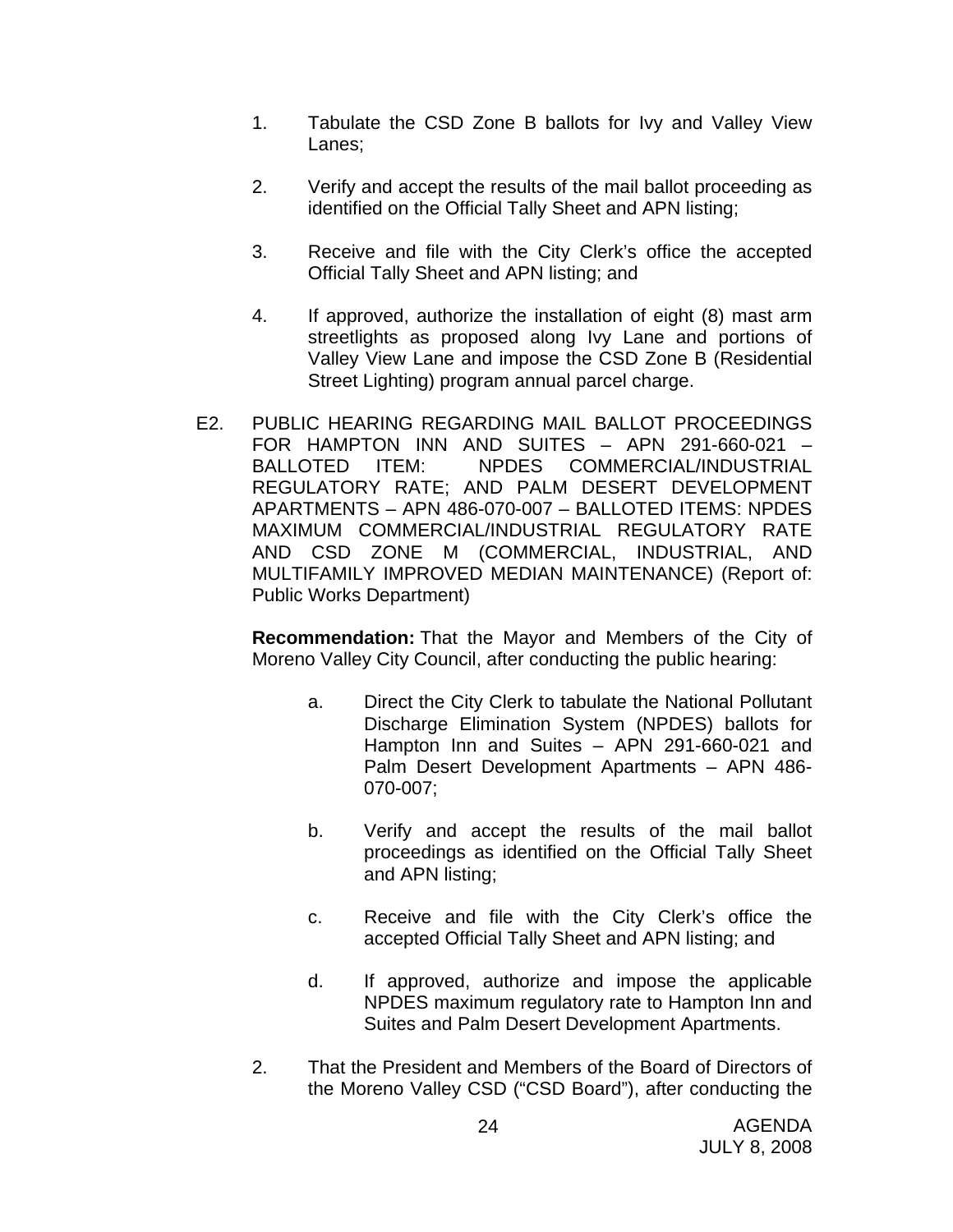- 1. Tabulate the CSD Zone B ballots for Ivy and Valley View Lanes;
- 2. Verify and accept the results of the mail ballot proceeding as identified on the Official Tally Sheet and APN listing;
- 3. Receive and file with the City Clerk's office the accepted Official Tally Sheet and APN listing; and
- 4. If approved, authorize the installation of eight (8) mast arm streetlights as proposed along Ivy Lane and portions of Valley View Lane and impose the CSD Zone B (Residential Street Lighting) program annual parcel charge.
- E2. PUBLIC HEARING REGARDING MAIL BALLOT PROCEEDINGS FOR HAMPTON INN AND SUITES – APN 291-660-021 – BALLOTED ITEM: NPDES COMMERCIAL/INDUSTRIAL REGULATORY RATE; AND PALM DESERT DEVELOPMENT APARTMENTS – APN 486-070-007 – BALLOTED ITEMS: NPDES MAXIMUM COMMERCIAL/INDUSTRIAL REGULATORY RATE AND CSD ZONE M (COMMERCIAL, INDUSTRIAL, AND MULTIFAMILY IMPROVED MEDIAN MAINTENANCE) (Report of: Public Works Department)

**Recommendation:** That the Mayor and Members of the City of Moreno Valley City Council, after conducting the public hearing:

- a. Direct the City Clerk to tabulate the National Pollutant Discharge Elimination System (NPDES) ballots for Hampton Inn and Suites – APN 291-660-021 and Palm Desert Development Apartments – APN 486- 070-007;
- b. Verify and accept the results of the mail ballot proceedings as identified on the Official Tally Sheet and APN listing;
- c. Receive and file with the City Clerk's office the accepted Official Tally Sheet and APN listing; and
- d. If approved, authorize and impose the applicable NPDES maximum regulatory rate to Hampton Inn and Suites and Palm Desert Development Apartments.
- 2. That the President and Members of the Board of Directors of the Moreno Valley CSD ("CSD Board"), after conducting the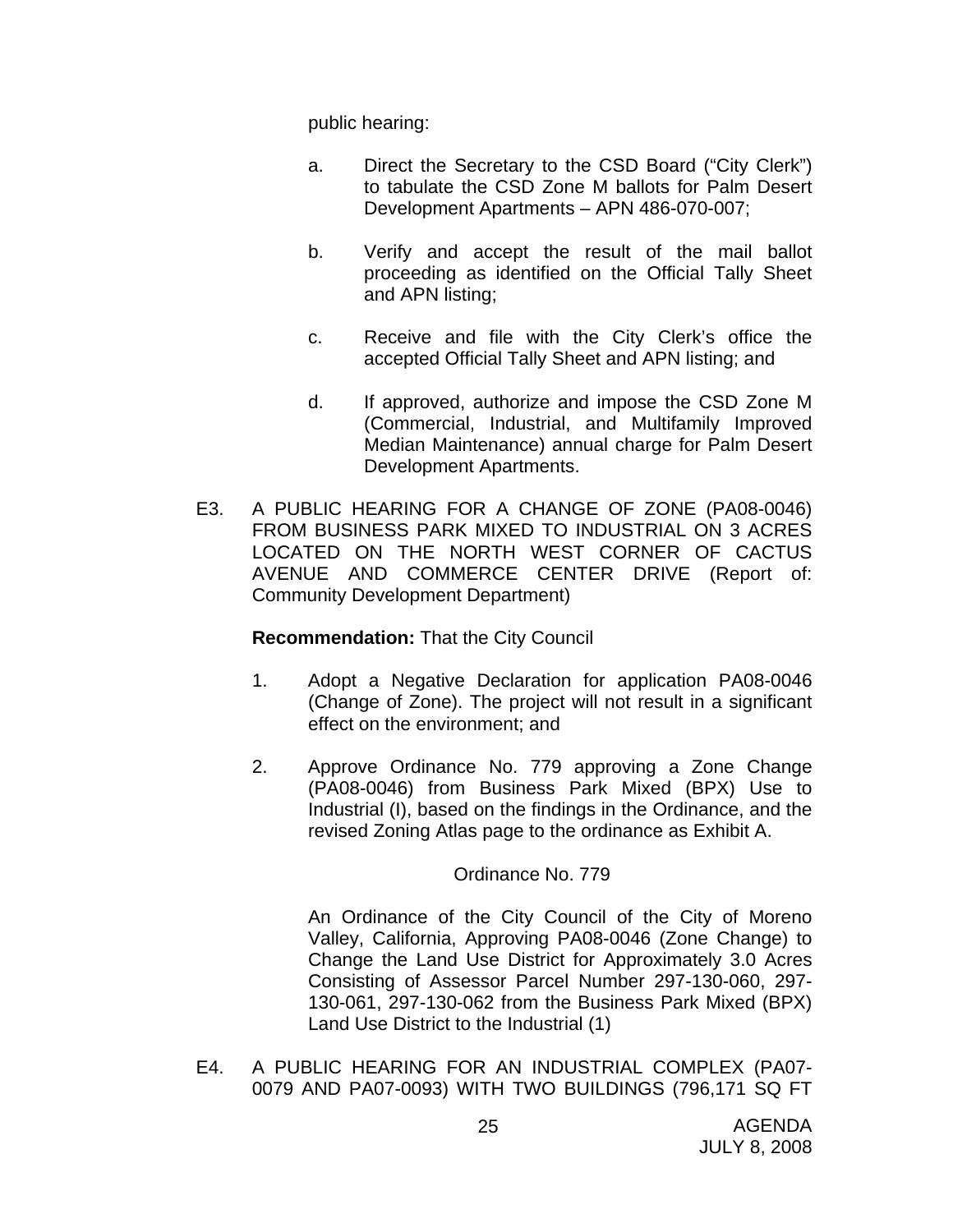public hearing:

- a. Direct the Secretary to the CSD Board ("City Clerk") to tabulate the CSD Zone M ballots for Palm Desert Development Apartments – APN 486-070-007;
- b. Verify and accept the result of the mail ballot proceeding as identified on the Official Tally Sheet and APN listing;
- c. Receive and file with the City Clerk's office the accepted Official Tally Sheet and APN listing; and
- d. If approved, authorize and impose the CSD Zone M (Commercial, Industrial, and Multifamily Improved Median Maintenance) annual charge for Palm Desert Development Apartments.
- E3. A PUBLIC HEARING FOR A CHANGE OF ZONE (PA08-0046) FROM BUSINESS PARK MIXED TO INDUSTRIAL ON 3 ACRES LOCATED ON THE NORTH WEST CORNER OF CACTUS AVENUE AND COMMERCE CENTER DRIVE (Report of: Community Development Department)

#### **Recommendation:** That the City Council

- 1. Adopt a Negative Declaration for application PA08-0046 (Change of Zone). The project will not result in a significant effect on the environment; and
- 2. Approve Ordinance No. 779 approving a Zone Change (PA08-0046) from Business Park Mixed (BPX) Use to Industrial (I), based on the findings in the Ordinance, and the revised Zoning Atlas page to the ordinance as Exhibit A.

#### Ordinance No. 779

An Ordinance of the City Council of the City of Moreno Valley, California, Approving PA08-0046 (Zone Change) to Change the Land Use District for Approximately 3.0 Acres Consisting of Assessor Parcel Number 297-130-060, 297- 130-061, 297-130-062 from the Business Park Mixed (BPX) Land Use District to the Industrial (1)

E4. A PUBLIC HEARING FOR AN INDUSTRIAL COMPLEX (PA07- 0079 AND PA07-0093) WITH TWO BUILDINGS (796,171 SQ FT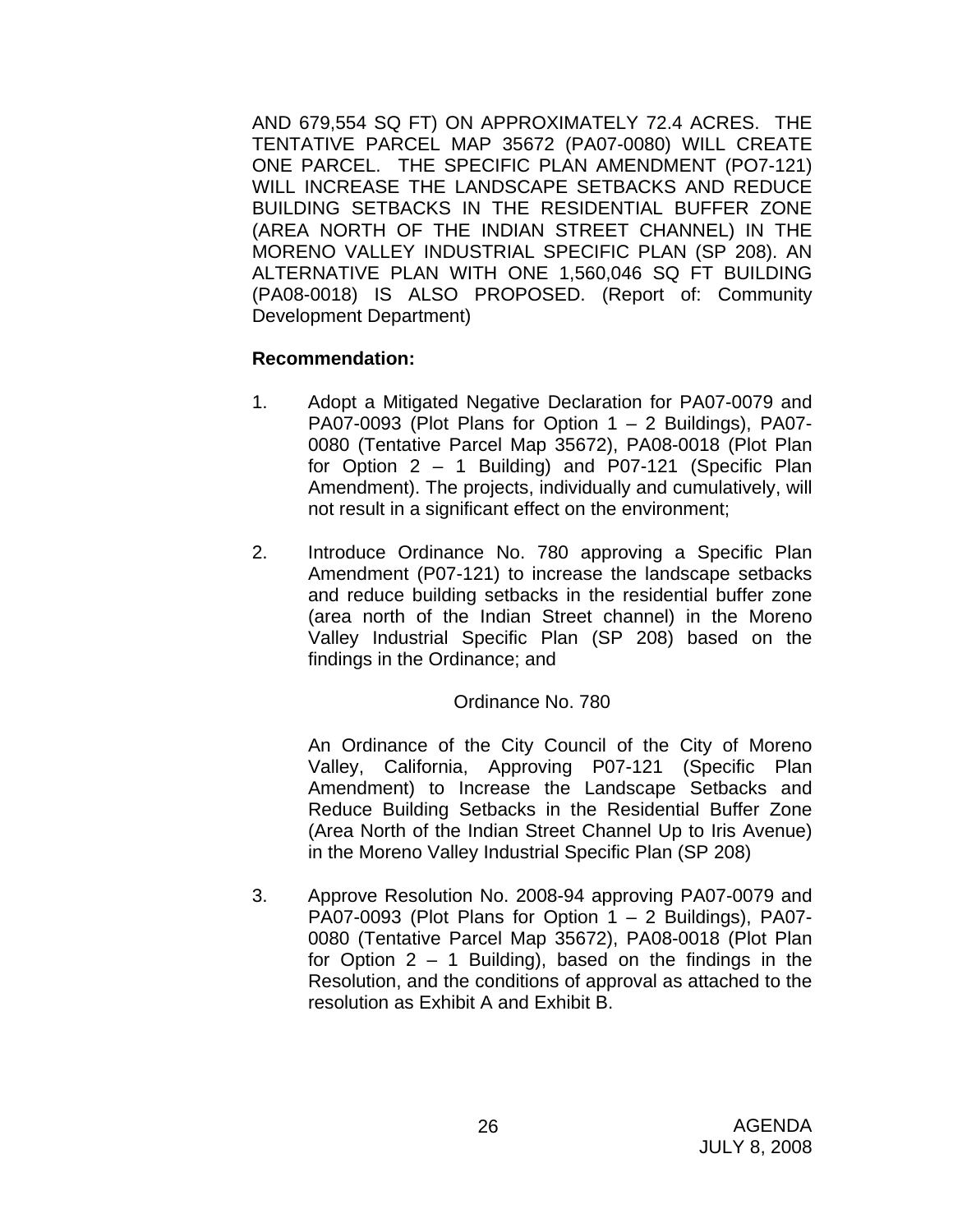AND 679,554 SQ FT) ON APPROXIMATELY 72.4 ACRES. THE TENTATIVE PARCEL MAP 35672 (PA07-0080) WILL CREATE ONE PARCEL. THE SPECIFIC PLAN AMENDMENT (PO7-121) WILL INCREASE THE LANDSCAPE SETBACKS AND REDUCE BUILDING SETBACKS IN THE RESIDENTIAL BUFFER ZONE (AREA NORTH OF THE INDIAN STREET CHANNEL) IN THE MORENO VALLEY INDUSTRIAL SPECIFIC PLAN (SP 208). AN ALTERNATIVE PLAN WITH ONE 1,560,046 SQ FT BUILDING (PA08-0018) IS ALSO PROPOSED. (Report of: Community Development Department)

#### **Recommendation:**

- 1. Adopt a Mitigated Negative Declaration for PA07-0079 and PA07-0093 (Plot Plans for Option 1 – 2 Buildings), PA07- 0080 (Tentative Parcel Map 35672), PA08-0018 (Plot Plan for Option 2 – 1 Building) and P07-121 (Specific Plan Amendment). The projects, individually and cumulatively, will not result in a significant effect on the environment;
- 2. Introduce Ordinance No. 780 approving a Specific Plan Amendment (P07-121) to increase the landscape setbacks and reduce building setbacks in the residential buffer zone (area north of the Indian Street channel) in the Moreno Valley Industrial Specific Plan (SP 208) based on the findings in the Ordinance; and

## Ordinance No. 780

An Ordinance of the City Council of the City of Moreno Valley, California, Approving P07-121 (Specific Plan Amendment) to Increase the Landscape Setbacks and Reduce Building Setbacks in the Residential Buffer Zone (Area North of the Indian Street Channel Up to Iris Avenue) in the Moreno Valley Industrial Specific Plan (SP 208)

3. Approve Resolution No. 2008-94 approving PA07-0079 and PA07-0093 (Plot Plans for Option 1 – 2 Buildings), PA07- 0080 (Tentative Parcel Map 35672), PA08-0018 (Plot Plan for Option  $2 - 1$  Building), based on the findings in the Resolution, and the conditions of approval as attached to the resolution as Exhibit A and Exhibit B.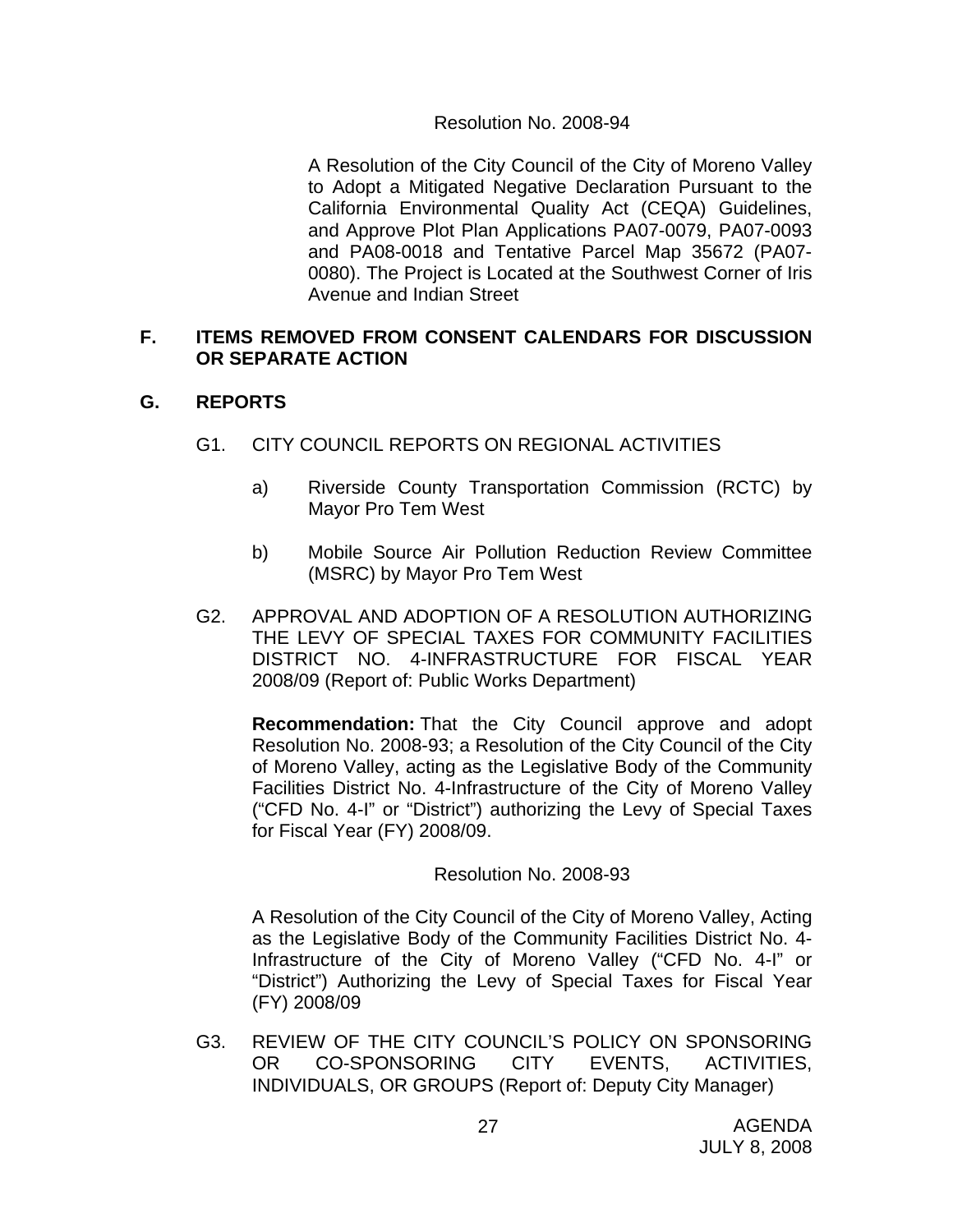#### Resolution No. 2008-94

 A Resolution of the City Council of the City of Moreno Valley to Adopt a Mitigated Negative Declaration Pursuant to the California Environmental Quality Act (CEQA) Guidelines, and Approve Plot Plan Applications PA07-0079, PA07-0093 and PA08-0018 and Tentative Parcel Map 35672 (PA07- 0080). The Project is Located at the Southwest Corner of Iris Avenue and Indian Street

#### **F. ITEMS REMOVED FROM CONSENT CALENDARS FOR DISCUSSION OR SEPARATE ACTION**

#### **G. REPORTS**

- G1. CITY COUNCIL REPORTS ON REGIONAL ACTIVITIES
	- a) Riverside County Transportation Commission (RCTC) by Mayor Pro Tem West
	- b) Mobile Source Air Pollution Reduction Review Committee (MSRC) by Mayor Pro Tem West
- G2. APPROVAL AND ADOPTION OF A RESOLUTION AUTHORIZING THE LEVY OF SPECIAL TAXES FOR COMMUNITY FACILITIES DISTRICT NO. 4-INFRASTRUCTURE FOR FISCAL YEAR 2008/09 (Report of: Public Works Department)

**Recommendation:** That the City Council approve and adopt Resolution No. 2008-93; a Resolution of the City Council of the City of Moreno Valley, acting as the Legislative Body of the Community Facilities District No. 4-Infrastructure of the City of Moreno Valley ("CFD No. 4-I" or "District") authorizing the Levy of Special Taxes for Fiscal Year (FY) 2008/09.

#### Resolution No. 2008-93

A Resolution of the City Council of the City of Moreno Valley, Acting as the Legislative Body of the Community Facilities District No. 4- Infrastructure of the City of Moreno Valley ("CFD No. 4-I" or "District") Authorizing the Levy of Special Taxes for Fiscal Year (FY) 2008/09

G3. REVIEW OF THE CITY COUNCIL'S POLICY ON SPONSORING OR CO-SPONSORING CITY EVENTS, ACTIVITIES, INDIVIDUALS, OR GROUPS (Report of: Deputy City Manager)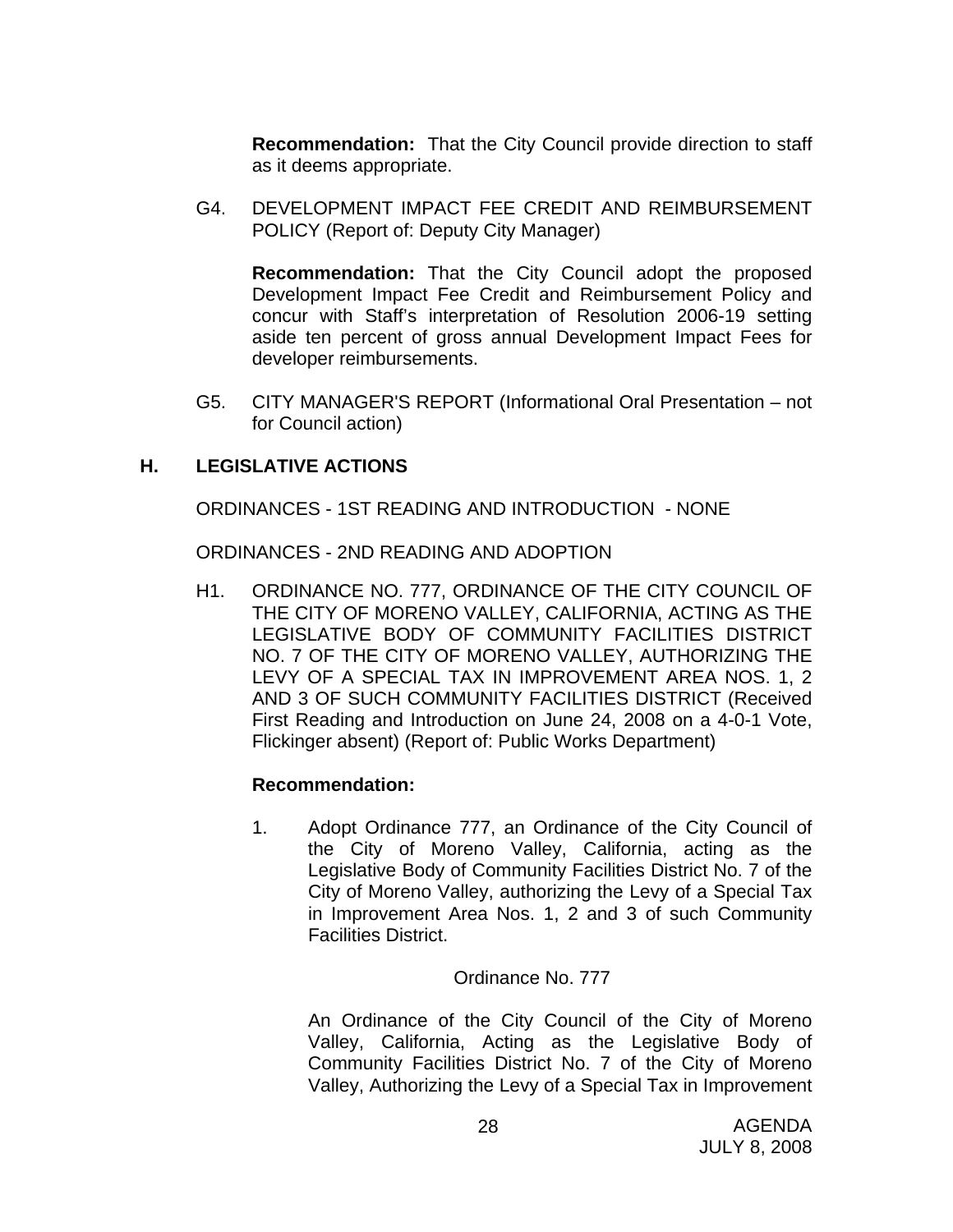**Recommendation:** That the City Council provide direction to staff as it deems appropriate.

G4. DEVELOPMENT IMPACT FEE CREDIT AND REIMBURSEMENT POLICY (Report of: Deputy City Manager)

**Recommendation:** That the City Council adopt the proposed Development Impact Fee Credit and Reimbursement Policy and concur with Staff's interpretation of Resolution 2006-19 setting aside ten percent of gross annual Development Impact Fees for developer reimbursements.

G5. CITY MANAGER'S REPORT (Informational Oral Presentation – not for Council action)

## **H. LEGISLATIVE ACTIONS**

ORDINANCES - 1ST READING AND INTRODUCTION - NONE

ORDINANCES - 2ND READING AND ADOPTION

H1. ORDINANCE NO. 777, ORDINANCE OF THE CITY COUNCIL OF THE CITY OF MORENO VALLEY, CALIFORNIA, ACTING AS THE LEGISLATIVE BODY OF COMMUNITY FACILITIES DISTRICT NO. 7 OF THE CITY OF MORENO VALLEY, AUTHORIZING THE LEVY OF A SPECIAL TAX IN IMPROVEMENT AREA NOS. 1, 2 AND 3 OF SUCH COMMUNITY FACILITIES DISTRICT (Received First Reading and Introduction on June 24, 2008 on a 4-0-1 Vote, Flickinger absent) (Report of: Public Works Department)

#### **Recommendation:**

1. Adopt Ordinance 777, an Ordinance of the City Council of the City of Moreno Valley, California, acting as the Legislative Body of Community Facilities District No. 7 of the City of Moreno Valley, authorizing the Levy of a Special Tax in Improvement Area Nos. 1, 2 and 3 of such Community Facilities District.

#### Ordinance No. 777

 An Ordinance of the City Council of the City of Moreno Valley, California, Acting as the Legislative Body of Community Facilities District No. 7 of the City of Moreno Valley, Authorizing the Levy of a Special Tax in Improvement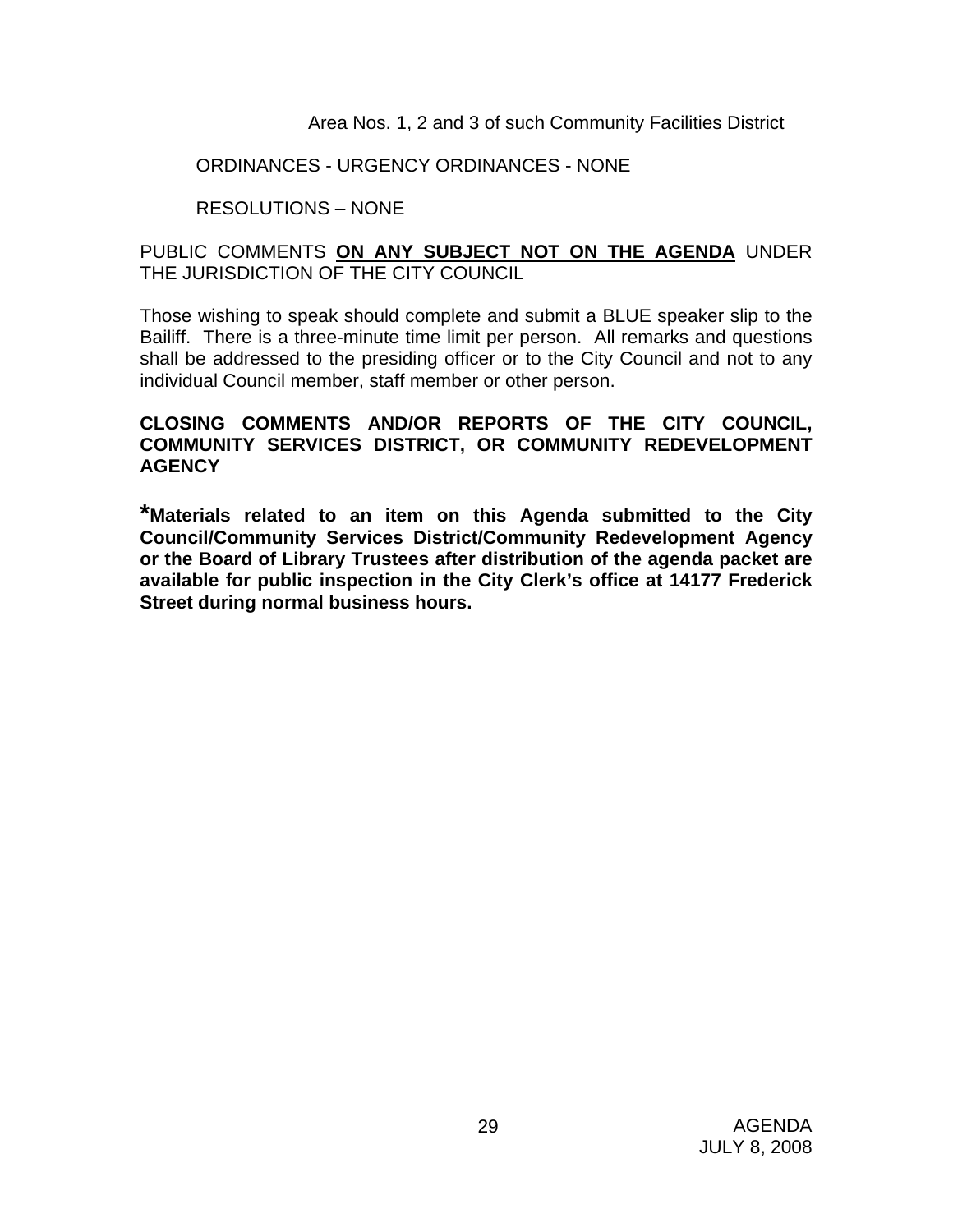Area Nos. 1, 2 and 3 of such Community Facilities District

#### ORDINANCES - URGENCY ORDINANCES - NONE

## RESOLUTIONS – NONE

## PUBLIC COMMENTS **ON ANY SUBJECT NOT ON THE AGENDA** UNDER THE JURISDICTION OF THE CITY COUNCIL

Those wishing to speak should complete and submit a BLUE speaker slip to the Bailiff. There is a three-minute time limit per person. All remarks and questions shall be addressed to the presiding officer or to the City Council and not to any individual Council member, staff member or other person.

## **CLOSING COMMENTS AND/OR REPORTS OF THE CITY COUNCIL, COMMUNITY SERVICES DISTRICT, OR COMMUNITY REDEVELOPMENT AGENCY**

**\*Materials related to an item on this Agenda submitted to the City Council/Community Services District/Community Redevelopment Agency or the Board of Library Trustees after distribution of the agenda packet are available for public inspection in the City Clerk's office at 14177 Frederick Street during normal business hours.**